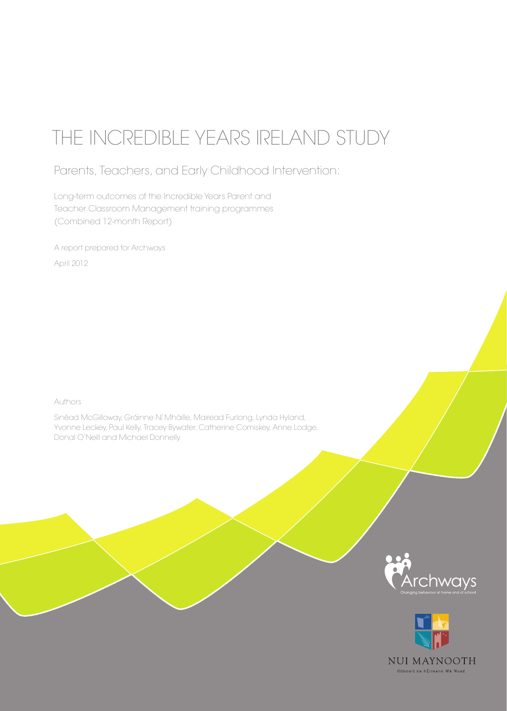# THE INCREDIBLE YEARS IRELAND STUDY

Parents, Teachers, and Early Childhood Intervention:

Long-term outcomes of the Incredible Years Parent and Teacher Classroom Management training programmes (Combined 12-month Report)

A report prepared for Archways April 2012

Authors

Sinéad McGilloway, Gráinne Ní Mháille, Mairead Furlong, Lynda Hyland, Yvonne Leckey, Paul Kelly, Tracey Bywater, Catherine Comiskey, Anne Lodge, Donal O'Neill and Michael Donnelly.



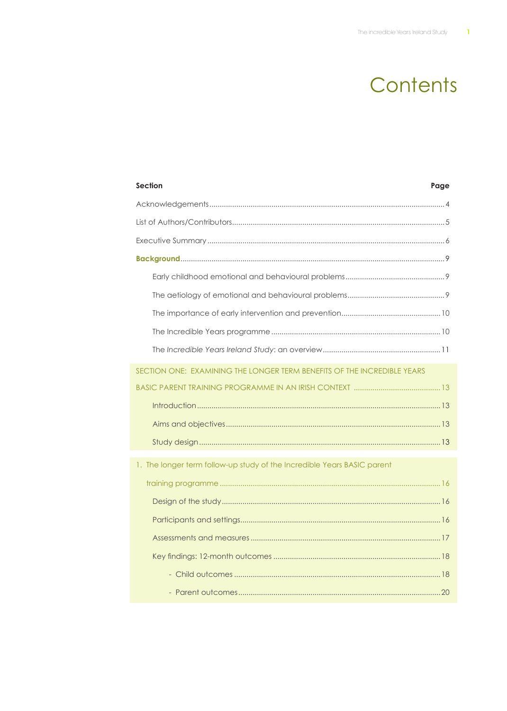# Contents

| <b>Section</b><br>Page                                                  |
|-------------------------------------------------------------------------|
|                                                                         |
|                                                                         |
|                                                                         |
|                                                                         |
|                                                                         |
|                                                                         |
|                                                                         |
|                                                                         |
|                                                                         |
| SECTION ONE: EXAMINING THE LONGER TERM BENEFITS OF THE INCREDIBLE YEARS |
|                                                                         |
|                                                                         |
|                                                                         |
|                                                                         |
| 1. The longer term follow-up study of the Incredible Years BASIC parent |
|                                                                         |
|                                                                         |
|                                                                         |
|                                                                         |
|                                                                         |
|                                                                         |
|                                                                         |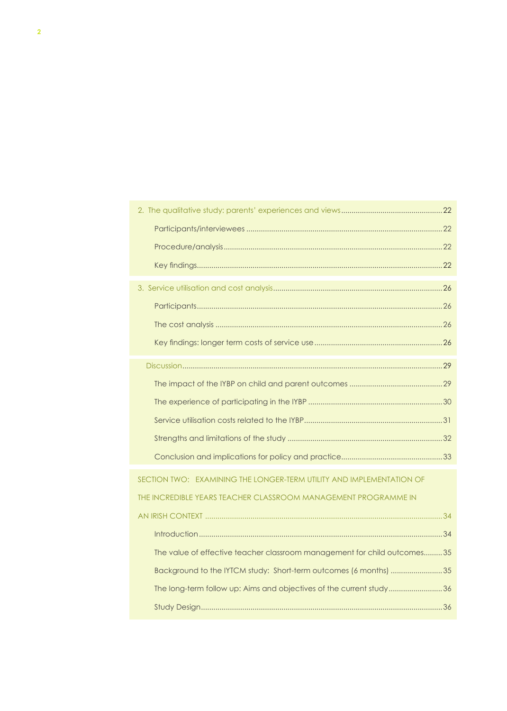| SECTION TWO: EXAMINING THE LONGER-TERM UTILITY AND IMPLEMENTATION OF     |
|--------------------------------------------------------------------------|
| THE INCREDIBLE YEARS TEACHER CLASSROOM MANAGEMENT PROGRAMME IN           |
|                                                                          |
|                                                                          |
| The value of effective teacher classroom management for child outcomes35 |
| Background to the IYTCM study: Short-term outcomes (6 months) 35         |
| The long-term follow up: Aims and objectives of the current study36      |
|                                                                          |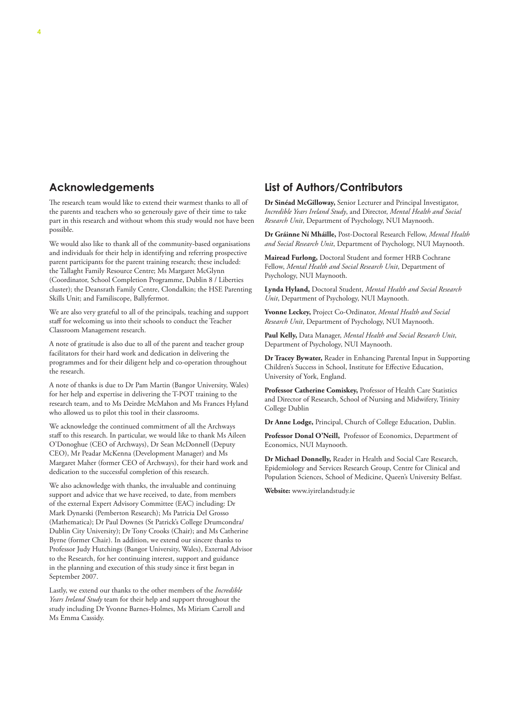#### **Acknowledgements**

The research team would like to extend their warmest thanks to all of the parents and teachers who so generously gave of their time to take part in this research and without whom this study would not have been possible.

We would also like to thank all of the community-based organisations and individuals for their help in identifying and referring prospective parent participants for the parent training research; these included: the Tallaght Family Resource Centre; Ms Margaret McGlynn (Coordinator, School Completion Programme, Dublin 8 / Liberties cluster); the Deansrath Family Centre, Clondalkin; the HSE Parenting Skills Unit; and Familiscope, Ballyfermot.

We are also very grateful to all of the principals, teaching and support staff for welcoming us into their schools to conduct the Teacher Classroom Management research.

A note of gratitude is also due to all of the parent and teacher group facilitators for their hard work and dedication in delivering the programmes and for their diligent help and co-operation throughout the research.

A note of thanks is due to Dr Pam Martin (Bangor University, Wales) for her help and expertise in delivering the T-POT training to the research team, and to Ms Deirdre McMahon and Ms Frances Hyland who allowed us to pilot this tool in their classrooms.

We acknowledge the continued commitment of all the Archways staff to this research. In particular, we would like to thank Ms Aileen O'Donoghue (CEO of Archways), Dr Sean McDonnell (Deputy CEO), Mr Peadar McKenna (Development Manager) and Ms Margaret Maher (former CEO of Archways), for their hard work and dedication to the successful completion of this research.

We also acknowledge with thanks, the invaluable and continuing support and advice that we have received, to date, from members of the external Expert Advisory Committee (EAC) including: Dr Mark Dynarski (Pemberton Research); Ms Patricia Del Grosso (Mathematica); Dr Paul Downes (St Patrick's College Drumcondra/ Dublin City University); Dr Tony Crooks (Chair); and Ms Catherine Byrne (former Chair). In addition, we extend our sincere thanks to Professor Judy Hutchings (Bangor University, Wales), External Advisor to the Research, for her continuing interest, support and guidance in the planning and execution of this study since it first began in September 2007.

Lastly, we extend our thanks to the other members of the *Incredible Years Ireland Study* team for their help and support throughout the study including Dr Yvonne Barnes-Holmes, Ms Miriam Carroll and Ms Emma Cassidy.

### **List of Authors/Contributors**

**Dr Sinéad McGilloway,** Senior Lecturer and Principal Investigator, *Incredible Years Ireland Study*, and Director, *Mental Health and Social Research Unit*, Department of Psychology, NUI Maynooth.

**Dr Gráinne Ní Mháille,** Post-Doctoral Research Fellow, *Mental Health and Social Research Unit*, Department of Psychology, NUI Maynooth.

**Mairead Furlong,** Doctoral Student and former HRB Cochrane Fellow, *Mental Health and Social Research Unit*, Department of Psychology, NUI Maynooth.

**Lynda Hyland,** Doctoral Student, *Mental Health and Social Research Unit*, Department of Psychology, NUI Maynooth.

**Yvonne Leckey,** Project Co-Ordinator, *Mental Health and Social Research Unit*, Department of Psychology, NUI Maynooth.

**Paul Kelly,** Data Manager, *Mental Health and Social Research Unit*, Department of Psychology, NUI Maynooth.

**Dr Tracey Bywater,** Reader in Enhancing Parental Input in Supporting Children's Success in School, Institute for Effective Education, University of York, England.

**Professor Catherine Comiskey,** Professor of Health Care Statistics and Director of Research, School of Nursing and Midwifery, Trinity College Dublin

**Dr Anne Lodge,** Principal, Church of College Education, Dublin.

**Professor Donal O'Neill,** Professor of Economics, Department of Economics, NUI Maynooth.

**Dr Michael Donnelly,** Reader in Health and Social Care Research, Epidemiology and Services Research Group, Centre for Clinical and Population Sciences, School of Medicine, Queen's University Belfast.

**Website:** www.iyirelandstudy.ie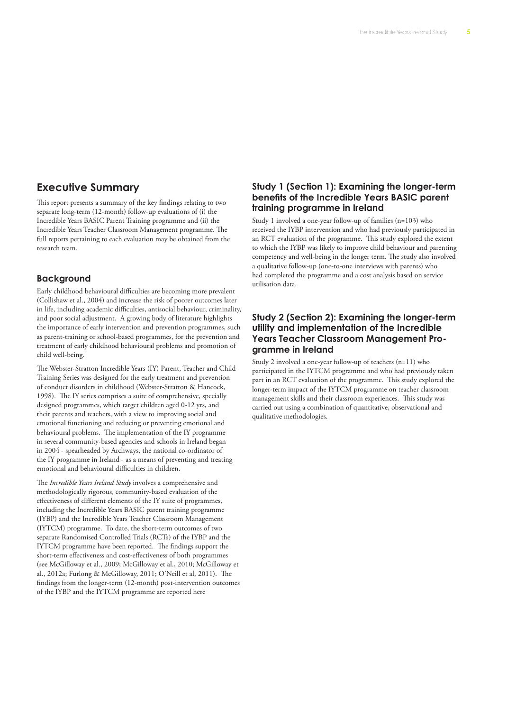### **Executive Summary**

This report presents a summary of the key findings relating to two separate long-term (12-month) follow-up evaluations of (i) the Incredible Years BASIC Parent Training programme and (ii) the Incredible Years Teacher Classroom Management programme. The full reports pertaining to each evaluation may be obtained from the research team.

#### **Background**

Early childhood behavioural difficulties are becoming more prevalent (Collishaw et al., 2004) and increase the risk of poorer outcomes later in life, including academic difficulties, antisocial behaviour, criminality, and poor social adjustment. A growing body of literature highlights the importance of early intervention and prevention programmes, such as parent-training or school-based programmes, for the prevention and treatment of early childhood behavioural problems and promotion of child well-being.

The Webster-Stratton Incredible Years (IY) Parent, Teacher and Child Training Series was designed for the early treatment and prevention of conduct disorders in childhood (Webster-Stratton & Hancock, 1998). The IY series comprises a suite of comprehensive, specially designed programmes, which target children aged 0-12 yrs, and their parents and teachers, with a view to improving social and emotional functioning and reducing or preventing emotional and behavioural problems. The implementation of the IY programme in several community-based agencies and schools in Ireland began in 2004 - spearheaded by Archways, the national co-ordinator of the IY programme in Ireland - as a means of preventing and treating emotional and behavioural difficulties in children.

The *Incredible Years Ireland Study* involves a comprehensive and methodologically rigorous, community-based evaluation of the effectiveness of different elements of the IY suite of programmes, including the Incredible Years BASIC parent training programme (IYBP) and the Incredible Years Teacher Classroom Management (IYTCM) programme. To date, the short-term outcomes of two separate Randomised Controlled Trials (RCTs) of the IYBP and the IYTCM programme have been reported. The findings support the short-term effectiveness and cost-effectiveness of both programmes (see McGilloway et al., 2009; McGilloway et al., 2010; McGilloway et al., 2012a; Furlong & McGilloway, 2011; O'Neill et al, 2011). The findings from the longer-term (12-month) post-intervention outcomes of the IYBP and the IYTCM programme are reported here

#### **Study 1 (Section 1): Examining the longer-term benefits of the Incredible Years BASIC parent training programme in Ireland**

Study 1 involved a one-year follow-up of families (n=103) who received the IYBP intervention and who had previously participated in an RCT evaluation of the programme. This study explored the extent to which the IYBP was likely to improve child behaviour and parenting competency and well-being in the longer term. The study also involved a qualitative follow-up (one-to-one interviews with parents) who had completed the programme and a cost analysis based on service utilisation data.

#### **Study 2 (Section 2): Examining the longer-term utility and implementation of the Incredible Years Teacher Classroom Management Programme in Ireland**

Study 2 involved a one-year follow-up of teachers (n=11) who participated in the IYTCM programme and who had previously taken part in an RCT evaluation of the programme. This study explored the longer-term impact of the IYTCM programme on teacher classroom management skills and their classroom experiences. This study was carried out using a combination of quantitative, observational and qualitative methodologies.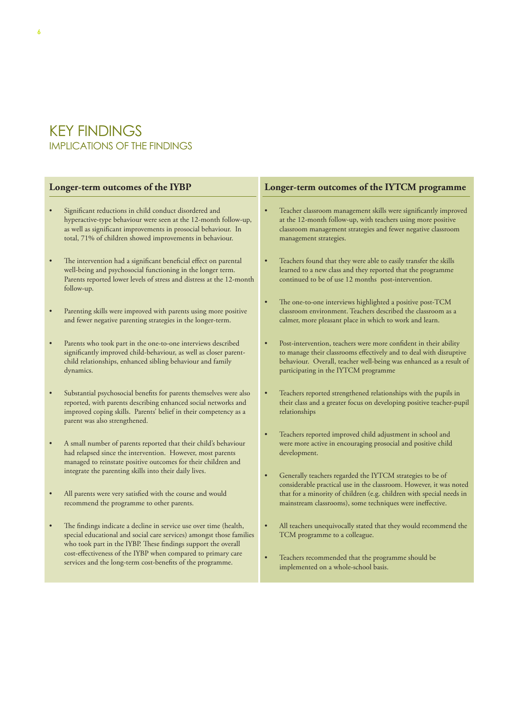## KEY FINDINGS IMPLICATIONS OF THE FINDINGS

services and the long-term cost-benefits of the programme.

| Longer-term outcomes of the IYBP                                                                                                                                                                                                                                                        | Longer-term outcomes of the IYTCM programme                                                                                                                                                                                                                                                                                      |  |  |
|-----------------------------------------------------------------------------------------------------------------------------------------------------------------------------------------------------------------------------------------------------------------------------------------|----------------------------------------------------------------------------------------------------------------------------------------------------------------------------------------------------------------------------------------------------------------------------------------------------------------------------------|--|--|
| Significant reductions in child conduct disordered and<br>$\bullet$<br>hyperactive-type behaviour were seen at the 12-month follow-up,<br>as well as significant improvements in prosocial behaviour. In<br>total, 71% of children showed improvements in behaviour.                    | Teacher classroom management skills were significantly improved<br>at the 12-month follow-up, with teachers using more positive<br>classroom management strategies and fewer negative classroom<br>management strategies.                                                                                                        |  |  |
| The intervention had a significant beneficial effect on parental<br>$\bullet$<br>well-being and psychosocial functioning in the longer term.<br>Parents reported lower levels of stress and distress at the 12-month<br>follow-up.                                                      | Teachers found that they were able to easily transfer the skills<br>learned to a new class and they reported that the programme<br>continued to be of use 12 months post-intervention.                                                                                                                                           |  |  |
| Parenting skills were improved with parents using more positive<br>$\bullet$<br>and fewer negative parenting strategies in the longer-term.                                                                                                                                             | The one-to-one interviews highlighted a positive post-TCM<br>classroom environment. Teachers described the classroom as a<br>calmer, more pleasant place in which to work and learn.                                                                                                                                             |  |  |
| Parents who took part in the one-to-one interviews described<br>$\bullet$<br>significantly improved child-behaviour, as well as closer parent-<br>child relationships, enhanced sibling behaviour and family<br>dynamics.                                                               | Post-intervention, teachers were more confident in their ability<br>to manage their classrooms effectively and to deal with disruptive<br>behaviour. Overall, teacher well-being was enhanced as a result of<br>participating in the IYTCM programme                                                                             |  |  |
| Substantial psychosocial benefits for parents themselves were also<br>$\bullet$<br>reported, with parents describing enhanced social networks and<br>improved coping skills. Parents' belief in their competency as a<br>parent was also strengthened.                                  | Teachers reported strengthened relationships with the pupils in<br>their class and a greater focus on developing positive teacher-pupil<br>relationships                                                                                                                                                                         |  |  |
| A small number of parents reported that their child's behaviour<br>$\bullet$<br>had relapsed since the intervention. However, most parents<br>managed to reinstate positive outcomes for their children and                                                                             | Teachers reported improved child adjustment in school and<br>were more active in encouraging prosocial and positive child<br>development.                                                                                                                                                                                        |  |  |
| integrate the parenting skills into their daily lives.<br>All parents were very satisfied with the course and would<br>$\bullet$<br>recommend the programme to other parents.                                                                                                           | Generally teachers regarded the IYTCM strategies to be of<br>considerable practical use in the classroom. However, it was noted<br>that for a minority of children (e.g. children with special needs in<br>mainstream classrooms), some techniques were ineffective.                                                             |  |  |
| The findings indicate a decline in service use over time (health,<br>$\bullet$<br>special educational and social care services) amongst those families<br>who took part in the IYBP. These findings support the overall<br>cost-effectiveness of the IYBP when compared to primary care | All teachers unequivocally stated that they would recommend the<br>TCM programme to a colleague.<br>$77.1$ and $1.1$ and $1.1$ and $1.1$ and $1.1$ and $1.1$ and $1.1$ and $1.1$ and $1.1$ and $1.1$ and $1.1$ and $1.1$ and $1.1$ and $1.1$ and $1.1$ and $1.1$ and $1.1$ and $1.1$ and $1.1$ and $1.1$ and $1.1$ and $1.1$ and |  |  |

• Teachers recommended that the programme should be implemented on a whole-school basis.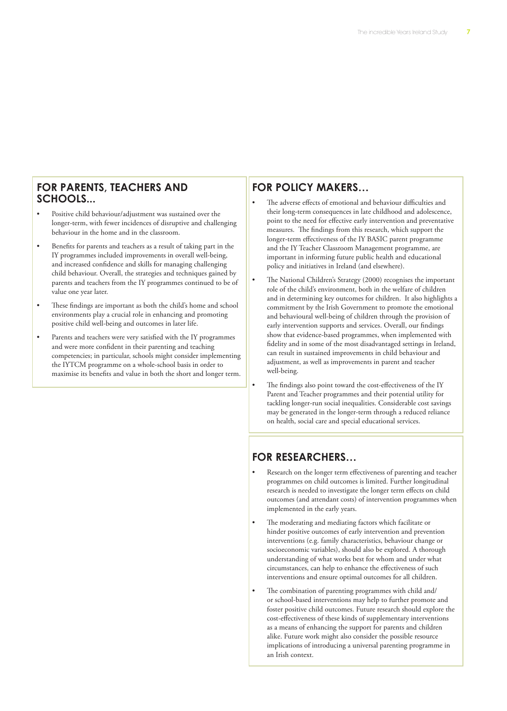#### **FOR PARENTS, TEACHERS AND SCHOOLS...**

- • Positive child behaviour/adjustment was sustained over the longer-term, with fewer incidences of disruptive and challenging behaviour in the home and in the classroom.
- Benefits for parents and teachers as a result of taking part in the IY programmes included improvements in overall well-being, and increased confidence and skills for managing challenging child behaviour. Overall, the strategies and techniques gained by parents and teachers from the IY programmes continued to be of value one year later.
- These findings are important as both the child's home and school environments play a crucial role in enhancing and promoting positive child well-being and outcomes in later life.
- • Parents and teachers were very satisfied with the IY programmes and were more confident in their parenting and teaching competencies; in particular, schools might consider implementing the IYTCM programme on a whole-school basis in order to maximise its benefits and value in both the short and longer term.

#### **FOR POLICY MAKERS…**

- The adverse effects of emotional and behaviour difficulties and their long-term consequences in late childhood and adolescence, point to the need for effective early intervention and preventative measures. The findings from this research, which support the longer-term effectiveness of the IY BASIC parent programme and the IY Teacher Classroom Management programme, are important in informing future public health and educational policy and initiatives in Ireland (and elsewhere).
- The National Children's Strategy (2000) recognises the important role of the child's environment, both in the welfare of children and in determining key outcomes for children. It also highlights a commitment by the Irish Government to promote the emotional and behavioural well-being of children through the provision of early intervention supports and services. Overall, our findings show that evidence-based programmes, when implemented with fidelity and in some of the most disadvantaged settings in Ireland, can result in sustained improvements in child behaviour and adjustment, as well as improvements in parent and teacher well-being.
- The findings also point toward the cost-effectiveness of the IY Parent and Teacher programmes and their potential utility for tackling longer-run social inequalities. Considerable cost savings may be generated in the longer-term through a reduced reliance on health, social care and special educational services.

## **FOR RESEARCHERS…**

- Research on the longer term effectiveness of parenting and teacher programmes on child outcomes is limited. Further longitudinal research is needed to investigate the longer term effects on child outcomes (and attendant costs) of intervention programmes when implemented in the early years.
- The moderating and mediating factors which facilitate or hinder positive outcomes of early intervention and prevention interventions (e.g. family characteristics, behaviour change or socioeconomic variables), should also be explored. A thorough understanding of what works best for whom and under what circumstances, can help to enhance the effectiveness of such interventions and ensure optimal outcomes for all children.
- The combination of parenting programmes with child and/ or school-based interventions may help to further promote and foster positive child outcomes. Future research should explore the cost-effectiveness of these kinds of supplementary interventions as a means of enhancing the support for parents and children alike. Future work might also consider the possible resource implications of introducing a universal parenting programme in an Irish context.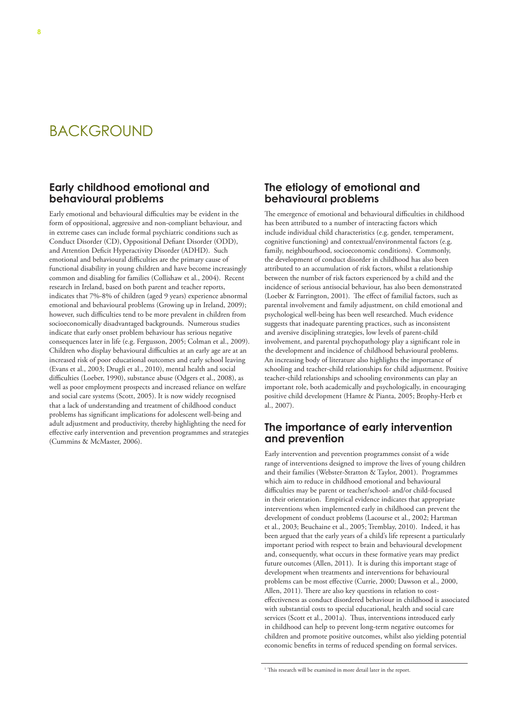## BACKGROUND

#### **Early childhood emotional and behavioural problems**

Early emotional and behavioural difficulties may be evident in the form of oppositional, aggressive and non-compliant behaviour, and in extreme cases can include formal psychiatric conditions such as Conduct Disorder (CD), Oppositional Defiant Disorder (ODD), and Attention Deficit Hyperactivity Disorder (ADHD). Such emotional and behavioural difficulties are the primary cause of functional disability in young children and have become increasingly common and disabling for families (Collishaw et al., 2004). Recent research in Ireland, based on both parent and teacher reports, indicates that 7%-8% of children (aged 9 years) experience abnormal emotional and behavioural problems (Growing up in Ireland, 2009); however, such difficulties tend to be more prevalent in children from socioeconomically disadvantaged backgrounds. Numerous studies indicate that early onset problem behaviour has serious negative consequences later in life (e.g. Fergusson, 2005; Colman et al., 2009). Children who display behavioural difficulties at an early age are at an increased risk of poor educational outcomes and early school leaving (Evans et al., 2003; Drugli et al., 2010), mental health and social difficulties (Loeber, 1990), substance abuse (Odgers et al., 2008), as well as poor employment prospects and increased reliance on welfare and social care systems (Scott, 2005). It is now widely recognised that a lack of understanding and treatment of childhood conduct problems has significant implications for adolescent well-being and adult adjustment and productivity, thereby highlighting the need for effective early intervention and prevention programmes and strategies (Cummins & McMaster, 2006).

#### **The etiology of emotional and behavioural problems**

The emergence of emotional and behavioural difficulties in childhood has been attributed to a number of interacting factors which include individual child characteristics (e.g. gender, temperament, cognitive functioning) and contextual/environmental factors (e.g. family, neighbourhood, socioeconomic conditions). Commonly, the development of conduct disorder in childhood has also been attributed to an accumulation of risk factors, whilst a relationship between the number of risk factors experienced by a child and the incidence of serious antisocial behaviour, has also been demonstrated (Loeber & Farrington, 2001). The effect of familial factors, such as parental involvement and family adjustment, on child emotional and psychological well-being has been well researched. Much evidence suggests that inadequate parenting practices, such as inconsistent and aversive disciplining strategies, low levels of parent-child involvement, and parental psychopathology play a significant role in the development and incidence of childhood behavioural problems. An increasing body of literature also highlights the importance of schooling and teacher-child relationships for child adjustment. Positive teacher-child relationships and schooling environments can play an important role, both academically and psychologically, in encouraging positive child development (Hamre & Pianta, 2005; Brophy-Herb et al., 2007).

#### **The importance of early intervention and prevention**

Early intervention and prevention programmes consist of a wide range of interventions designed to improve the lives of young children and their families (Webster-Stratton & Taylor, 2001). Programmes which aim to reduce in childhood emotional and behavioural difficulties may be parent or teacher/school- and/or child-focused in their orientation. Empirical evidence indicates that appropriate interventions when implemented early in childhood can prevent the development of conduct problems (Lacourse et al., 2002; Hartman et al., 2003; Beuchaine et al., 2005; Tremblay, 2010). Indeed, it has been argued that the early years of a child's life represent a particularly important period with respect to brain and behavioural development and, consequently, what occurs in these formative years may predict future outcomes (Allen, 2011). It is during this important stage of development when treatments and interventions for behavioural problems can be most effective (Currie, 2000; Dawson et al., 2000, Allen, 2011). There are also key questions in relation to costeffectiveness as conduct disordered behaviour in childhood is associated with substantial costs to special educational, health and social care services (Scott et al., 2001a). Thus, interventions introduced early in childhood can help to prevent long-term negative outcomes for children and promote positive outcomes, whilst also yielding potential economic benefits in terms of reduced spending on formal services.

<sup>&</sup>lt;sup>1</sup> This research will be examined in more detail later in the report.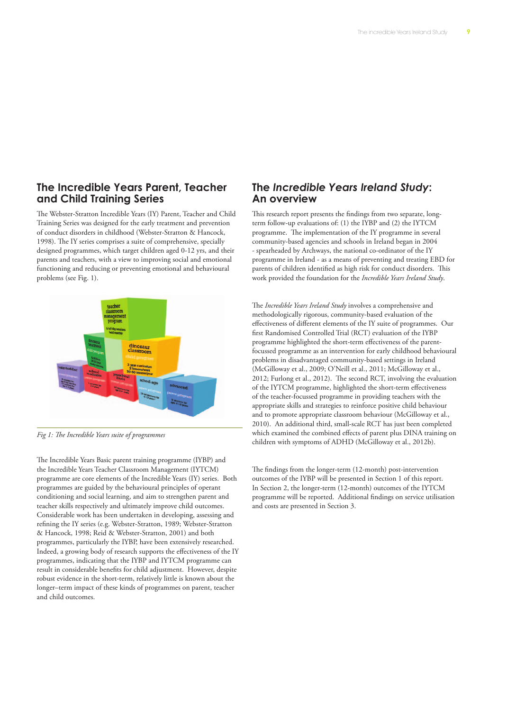### **The Incredible Years Parent, Teacher and Child Training Series**

The Webster-Stratton Incredible Years (IY) Parent, Teacher and Child Training Series was designed for the early treatment and prevention of conduct disorders in childhood (Webster-Stratton & Hancock, 1998). The IY series comprises a suite of comprehensive, specially designed programmes, which target children aged 0-12 yrs, and their parents and teachers, with a view to improving social and emotional functioning and reducing or preventing emotional and behavioural problems (see Fig. 1).



*Fig 1: The Incredible Years suite of programmes*

The Incredible Years Basic parent training programme (IYBP) and the Incredible Years Teacher Classroom Management (IYTCM) programme are core elements of the Incredible Years (IY) series. Both programmes are guided by the behavioural principles of operant conditioning and social learning, and aim to strengthen parent and teacher skills respectively and ultimately improve child outcomes. Considerable work has been undertaken in developing, assessing and refining the IY series (e.g. Webster-Stratton, 1989; Webster-Stratton & Hancock, 1998; Reid & Webster-Stratton, 2001) and both programmes, particularly the IYBP, have been extensively researched. Indeed, a growing body of research supports the effectiveness of the IY programmes, indicating that the IYBP and IYTCM programme can result in considerable benefits for child adjustment. However, despite robust evidence in the short-term, relatively little is known about the longer–term impact of these kinds of programmes on parent, teacher and child outcomes.

#### **The** *Incredible Years Ireland Study***: An overview**

This research report presents the findings from two separate, longterm follow-up evaluations of: (1) the IYBP and (2) the IYTCM programme. The implementation of the IY programme in several community-based agencies and schools in Ireland began in 2004 - spearheaded by Archways, the national co-ordinator of the IY programme in Ireland - as a means of preventing and treating EBD for parents of children identified as high risk for conduct disorders. This work provided the foundation for the *Incredible Years Ireland Study*.

The *Incredible Years Ireland Study* involves a comprehensive and methodologically rigorous, community-based evaluation of the effectiveness of different elements of the IY suite of programmes. Our first Randomised Controlled Trial (RCT) evaluation of the IYBP programme highlighted the short-term effectiveness of the parentfocussed programme as an intervention for early childhood behavioural problems in disadvantaged community-based settings in Ireland (McGilloway et al., 2009; O'Neill et al., 2011; McGilloway et al., 2012; Furlong et al., 2012). The second RCT, involving the evaluation of the IYTCM programme, highlighted the short-term effectiveness of the teacher-focussed programme in providing teachers with the appropriate skills and strategies to reinforce positive child behaviour and to promote appropriate classroom behaviour (McGilloway et al., 2010). An additional third, small-scale RCT has just been completed which examined the combined effects of parent plus DINA training on children with symptoms of ADHD (McGilloway et al., 2012b).

The findings from the longer-term (12-month) post-intervention outcomes of the IYBP will be presented in Section 1 of this report. In Section 2, the longer-term (12-month) outcomes of the IYTCM programme will be reported. Additional findings on service utilisation and costs are presented in Section 3.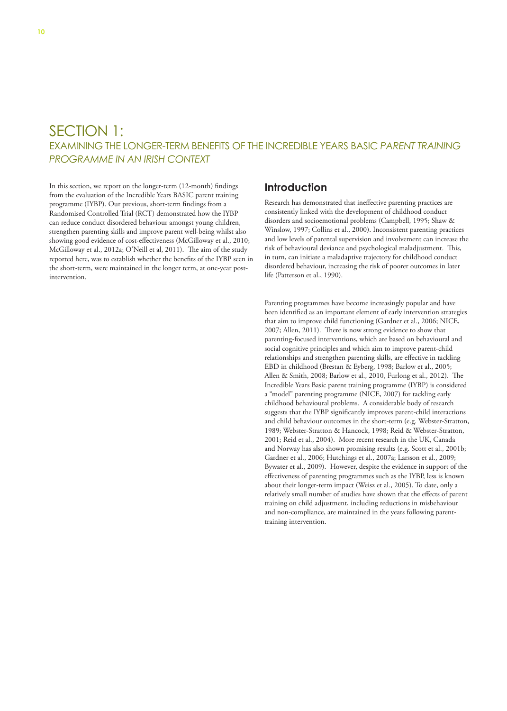## SECTION 1: EXAMINING THE LONGER-TERM BENEFITS OF THE INCREDIBLE YEARS BASIC *PARENT TRAINING PROGRAMME IN AN IRISH CONTEXT*

In this section, we report on the longer-term (12-month) findings from the evaluation of the Incredible Years BASIC parent training programme (IYBP). Our previous, short-term findings from a Randomised Controlled Trial (RCT) demonstrated how the IYBP can reduce conduct disordered behaviour amongst young children, strengthen parenting skills and improve parent well-being whilst also showing good evidence of cost-effectiveness (McGilloway et al., 2010; McGilloway et al., 2012a; O'Neill et al, 2011). The aim of the study reported here, was to establish whether the benefits of the IYBP seen in the short-term, were maintained in the longer term, at one-year postintervention.

#### **Introduction**

Research has demonstrated that ineffective parenting practices are consistently linked with the development of childhood conduct disorders and socioemotional problems (Campbell, 1995; Shaw & Winslow, 1997; Collins et al., 2000). Inconsistent parenting practices and low levels of parental supervision and involvement can increase the risk of behavioural deviance and psychological maladjustment. This, in turn, can initiate a maladaptive trajectory for childhood conduct disordered behaviour, increasing the risk of poorer outcomes in later life (Patterson et al., 1990).

Parenting programmes have become increasingly popular and have been identified as an important element of early intervention strategies that aim to improve child functioning (Gardner et al., 2006; NICE, 2007; Allen, 2011). There is now strong evidence to show that parenting-focused interventions, which are based on behavioural and social cognitive principles and which aim to improve parent-child relationships and strengthen parenting skills, are effective in tackling EBD in childhood (Brestan & Eyberg, 1998; Barlow et al., 2005; Allen & Smith, 2008; Barlow et al., 2010, Furlong et al., 2012). The Incredible Years Basic parent training programme (IYBP) is considered a "model" parenting programme (NICE, 2007) for tackling early childhood behavioural problems. A considerable body of research suggests that the IYBP significantly improves parent-child interactions and child behaviour outcomes in the short-term (e.g. Webster-Stratton, 1989; Webster-Stratton & Hancock, 1998; Reid & Webster-Stratton, 2001; Reid et al., 2004). More recent research in the UK, Canada and Norway has also shown promising results (e.g. Scott et al., 2001b; Gardner et al., 2006; Hutchings et al., 2007a; Larsson et al., 2009; Bywater et al., 2009). However, despite the evidence in support of the effectiveness of parenting programmes such as the IYBP, less is known about their longer-term impact (Weisz et al., 2005). To date, only a relatively small number of studies have shown that the effects of parent training on child adjustment, including reductions in misbehaviour and non-compliance, are maintained in the years following parenttraining intervention.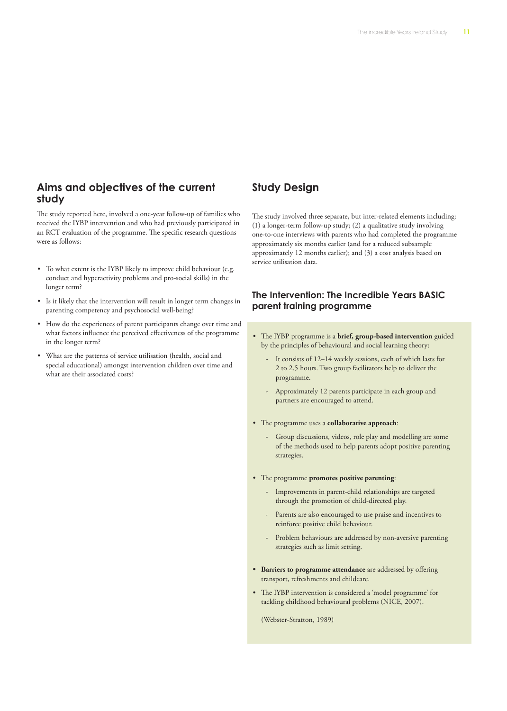#### **Aims and objectives of the current study**

The study reported here, involved a one-year follow-up of families who received the IYBP intervention and who had previously participated in an RCT evaluation of the programme. The specific research questions were as follows:

- • To what extent is the IYBP likely to improve child behaviour (e.g. conduct and hyperactivity problems and pro-social skills) in the longer term?
- Is it likely that the intervention will result in longer term changes in parenting competency and psychosocial well-being?
- • How do the experiences of parent participants change over time and what factors influence the perceived effectiveness of the programme in the longer term?
- • What are the patterns of service utilisation (health, social and special educational) amongst intervention children over time and what are their associated costs?

#### **Study Design**

The study involved three separate, but inter-related elements including: (1) a longer-term follow-up study; (2) a qualitative study involving one-to-one interviews with parents who had completed the programme approximately six months earlier (and for a reduced subsample approximately 12 months earlier); and (3) a cost analysis based on service utilisation data.

#### **The Intervention: The Incredible Years BASIC parent training programme**

- • The IYBP programme is a **brief, group-based intervention** guided by the principles of behavioural and social learning theory:
	- It consists of 12–14 weekly sessions, each of which lasts for 2 to 2.5 hours. Two group facilitators help to deliver the programme.
	- Approximately 12 parents participate in each group and partners are encouraged to attend.
- • The programme uses a **collaborative approach**:
	- Group discussions, videos, role play and modelling are some of the methods used to help parents adopt positive parenting strategies.
- • The programme **promotes positive parenting**:
	- Improvements in parent-child relationships are targeted through the promotion of child-directed play.
	- Parents are also encouraged to use praise and incentives to reinforce positive child behaviour.
	- Problem behaviours are addressed by non-aversive parenting strategies such as limit setting.
- **• Barriers to programme attendance** are addressed by offering transport, refreshments and childcare.
- • The IYBP intervention is considered a 'model programme' for tackling childhood behavioural problems (NICE, 2007).

(Webster-Stratton, 1989)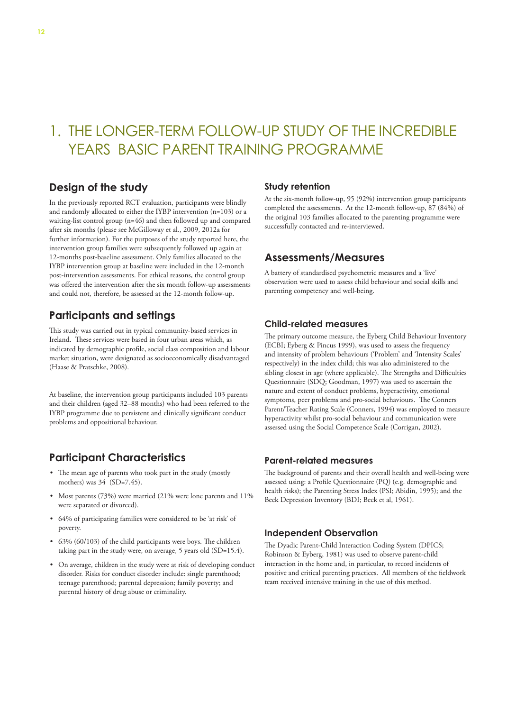## 1. THE LONGER-TERM FOLLOW-UP STUDY OF THE INCREDIBLE YEARS BASIC PARENT TRAINING PROGRAMME

### **Design of the study**

In the previously reported RCT evaluation, participants were blindly and randomly allocated to either the IYBP intervention (n=103) or a waiting-list control group (n=46) and then followed up and compared after six months (please see McGilloway et al., 2009, 2012a for further information). For the purposes of the study reported here, the intervention group families were subsequently followed up again at 12-months post-baseline assessment. Only families allocated to the IYBP intervention group at baseline were included in the 12-month post-intervention assessments. For ethical reasons, the control group was offered the intervention after the six month follow-up assessments and could not, therefore, be assessed at the 12-month follow-up.

## **Participants and settings**

This study was carried out in typical community-based services in Ireland. These services were based in four urban areas which, as indicated by demographic profile, social class composition and labour market situation, were designated as socioeconomically disadvantaged (Haase & Pratschke, 2008).

At baseline, the intervention group participants included 103 parents and their children (aged 32–88 months) who had been referred to the IYBP programme due to persistent and clinically significant conduct problems and oppositional behaviour.

## **Participant Characteristics**

- The mean age of parents who took part in the study (mostly mothers) was 34 (SD=7.45).
- Most parents (73%) were married (21% were lone parents and 11% were separated or divorced).
- • 64% of participating families were considered to be 'at risk' of poverty.
- • 63% (60/103) of the child participants were boys. The children taking part in the study were, on average, 5 years old (SD=15.4).
- • On average, children in the study were at risk of developing conduct disorder. Risks for conduct disorder include: single parenthood; teenage parenthood; parental depression; family poverty; and parental history of drug abuse or criminality.

#### **Study retention**

At the six-month follow-up, 95 (92%) intervention group participants completed the assessments. At the 12-month follow-up, 87 (84%) of the original 103 families allocated to the parenting programme were successfully contacted and re-interviewed.

#### **Assessments/Measures**

A battery of standardised psychometric measures and a 'live' observation were used to assess child behaviour and social skills and parenting competency and well-being.

#### **Child-related measures**

The primary outcome measure, the Eyberg Child Behaviour Inventory (ECBI; Eyberg & Pincus 1999), was used to assess the frequency and intensity of problem behaviours ('Problem' and 'Intensity Scales' respectively) in the index child; this was also administered to the sibling closest in age (where applicable). The Strengths and Difficulties Questionnaire (SDQ; Goodman, 1997) was used to ascertain the nature and extent of conduct problems, hyperactivity, emotional symptoms, peer problems and pro-social behaviours. The Conners Parent/Teacher Rating Scale (Conners, 1994) was employed to measure hyperactivity whilst pro-social behaviour and communication were assessed using the Social Competence Scale (Corrigan, 2002).

#### **Parent-related measures**

The background of parents and their overall health and well-being were assessed using: a Profile Questionnaire (PQ) (e.g. demographic and health risks); the Parenting Stress Index (PSI; Abidin, 1995); and the Beck Depression Inventory (BDI; Beck et al, 1961).

#### **Independent Observation**

The Dyadic Parent-Child Interaction Coding System (DPICS; Robinson & Eyberg, 1981) was used to observe parent-child interaction in the home and, in particular, to record incidents of positive and critical parenting practices. All members of the fieldwork team received intensive training in the use of this method.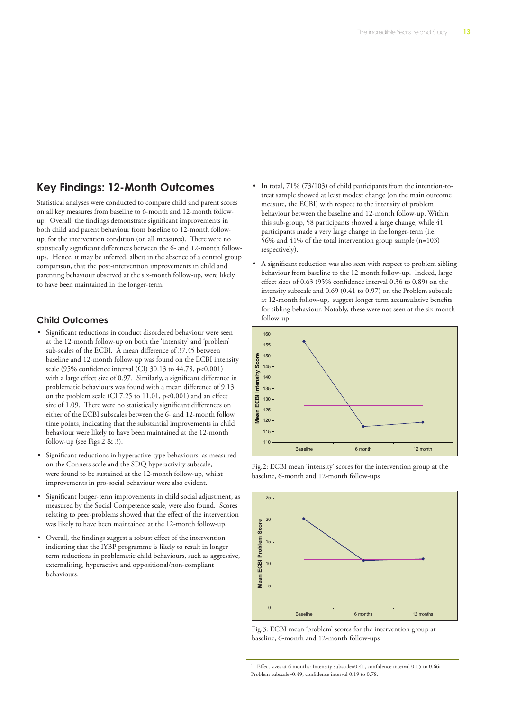## **Key Findings: 12-Month Outcomes**

Statistical analyses were conducted to compare child and parent scores on all key measures from baseline to 6-month and 12-month followup. Overall, the findings demonstrate significant improvements in both child and parent behaviour from baseline to 12-month followup, for the intervention condition (on all measures). There were no statistically significant differences between the 6- and 12-month followups. Hence, it may be inferred, albeit in the absence of a control group comparison, that the post-intervention improvements in child and parenting behaviour observed at the six-month follow-up, were likely to have been maintained in the longer-term.

#### **Child Outcomes**

- • Significant reductions in conduct disordered behaviour were seen at the 12-month follow-up on both the 'intensity' and 'problem' sub-scales of the ECBI. A mean difference of 37.45 between baseline and 12-month follow-up was found on the ECBI intensity scale (95% confidence interval (CI) 30.13 to 44.78, p<0.001) with a large effect size of 0.97. Similarly, a significant difference in problematic behaviours was found with a mean difference of 9.13 on the problem scale (CI 7.25 to 11.01, p<0.001) and an effect size of 1.09. There were no statistically significant differences on either of the ECBI subscales between the 6- and 12-month follow time points, indicating that the substantial improvements in child behaviour were likely to have been maintained at the 12-month follow-up (see Figs 2 & 3).
- Significant reductions in hyperactive-type behaviours, as measured on the Conners scale and the SDQ hyperactivity subscale, were found to be sustained at the 12-month follow-up, whilst improvements in pro-social behaviour were also evident.
- • Significant longer-term improvements in child social adjustment, as measured by the Social Competence scale, were also found. Scores relating to peer-problems showed that the effect of the intervention was likely to have been maintained at the 12-month follow-up.
- • Overall, the findings suggest a robust effect of the intervention indicating that the IYBP programme is likely to result in longer term reductions in problematic child behaviours, such as aggressive, externalising, hyperactive and oppositional/non-compliant behaviours.
- In total, 71% (73/103) of child participants from the intention-totreat sample showed at least modest change (on the main outcome measure, the ECBI) with respect to the intensity of problem behaviour between the baseline and 12-month follow-up. Within this sub-group, 58 participants showed a large change, while 41 participants made a very large change in the longer-term (i.e. 56% and 41% of the total intervention group sample (n=103) respectively).
- A significant reduction was also seen with respect to problem sibling behaviour from baseline to the 12 month follow-up. Indeed, large effect sizes of  $0.63$  (95% confidence interval  $0.36$  to  $0.89$ ) on the intensity subscale and  $0.69$  ( $0.41$  to  $0.97$ ) on the Problem subscale at 12-month follow-up, suggest longer term accumulative benefits for sibling behaviour. Notably, these were not seen at the six-month follow-up.



Fig.2: ECBI mean 'intensity' scores for the intervention group at the baseline, 6-month and 12-month follow-ups



5 baseline, 6-month and 12-month follow-ups Fig.3: ECBI mean 'problem' scores for the intervention group at

Effect sizes at 6 months: Intensity subscale=0.41, confidence interval 0.15 to 0.66; Problem subscale=0.49, confidence interval 0.19 to 0.78. 1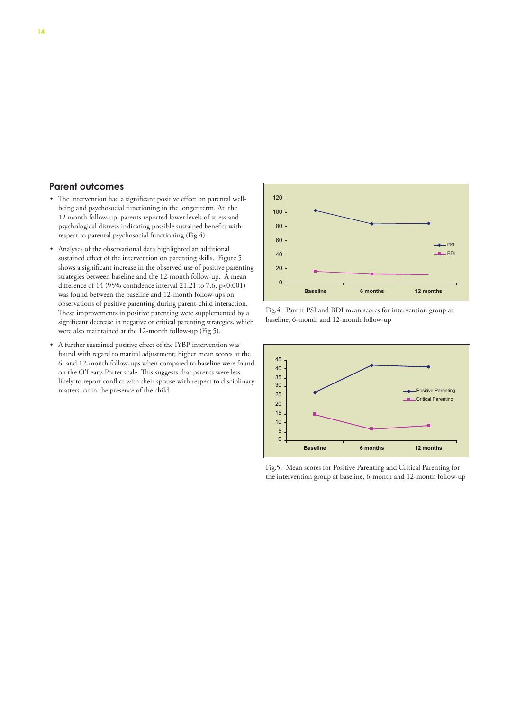#### **Parent outcomes**

- • The intervention had a significant positive effect on parental wellbeing and psychosocial functioning in the longer term. At the 12 month follow-up, parents reported lower levels of stress and psychological distress indicating possible sustained benefits with respect to parental psychosocial functioning (Fig 4).
- • Analyses of the observational data highlighted an additional sustained effect of the intervention on parenting skills. Figure 5 shows a significant increase in the observed use of positive parenting strategies between baseline and the 12-month follow-up. A mean difference of 14 (95% confidence interval 21.21 to 7.6, p<0.001) was found between the baseline and 12-month follow-ups on observations of positive parenting during parent-child interaction. These improvements in positive parenting were supplemented by a significant decrease in negative or critical parenting strategies, which were also maintained at the 12-month follow-up (Fig 5).
	- • A further sustained positive effect of the IYBP intervention was found with regard to marital adjustment; higher mean scores at the 6- and 12-month follow-ups when compared to baseline were found on the O'Leary-Porter scale. This suggests that parents were less likely to report conflict with their spouse with respect to disciplinary matters, or in the presence of the child.



Fig.4: Parent PSI and BDI mean scores for intervention group at baseline, 6-month and 12-month follow-up



Fig.5: Mean scores for Positive Parenting and Critical Parenting for the intervention group at baseline, 6-month and 12-month follow-up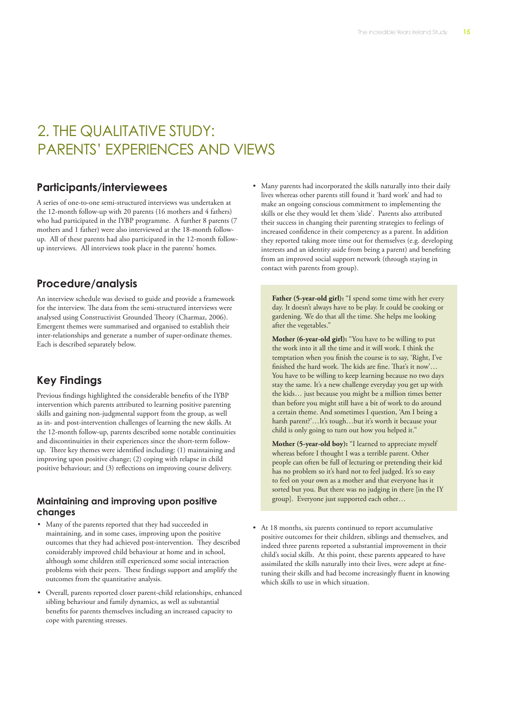## 2. THE QUALITATIVE STUDY: PARENTS' EXPERIENCES AND VIEWS

### **Participants/interviewees**

A series of one-to-one semi-structured interviews was undertaken at the 12-month follow-up with 20 parents (16 mothers and 4 fathers) who had participated in the IYBP programme. A further 8 parents (7 mothers and 1 father) were also interviewed at the 18-month followup. All of these parents had also participated in the 12-month followup interviews. All interviews took place in the parents' homes.

## **Procedure/analysis**

An interview schedule was devised to guide and provide a framework for the interview. The data from the semi-structured interviews were analysed using Constructivist Grounded Theory (Charmaz, 2006). Emergent themes were summarised and organised to establish their inter-relationships and generate a number of super-ordinate themes. Each is described separately below.

## **Key Findings**

Previous findings highlighted the considerable benefits of the IYBP intervention which parents attributed to learning positive parenting skills and gaining non-judgmental support from the group, as well as in- and post-intervention challenges of learning the new skills. At the 12-month follow-up, parents described some notable continuities and discontinuities in their experiences since the short-term followup. Three key themes were identified including: (1) maintaining and improving upon positive change; (2) coping with relapse in child positive behaviour; and (3) reflections on improving course delivery.

#### **Maintaining and improving upon positive changes**

- • Many of the parents reported that they had succeeded in maintaining, and in some cases, improving upon the positive outcomes that they had achieved post-intervention. They described considerably improved child behaviour at home and in school, although some children still experienced some social interaction problems with their peers. These findings support and amplify the outcomes from the quantitative analysis.
- • Overall, parents reported closer parent-child relationships, enhanced sibling behaviour and family dynamics, as well as substantial benefits for parents themselves including an increased capacity to cope with parenting stresses.

• Many parents had incorporated the skills naturally into their daily lives whereas other parents still found it 'hard work' and had to make an ongoing conscious commitment to implementing the skills or else they would let them 'slide'. Parents also attributed their success in changing their parenting strategies to feelings of increased confidence in their competency as a parent. In addition they reported taking more time out for themselves (e.g. developing interests and an identity aside from being a parent) and benefiting from an improved social support network (through staying in contact with parents from group).

Father (5-year-old girl): "I spend some time with her every day. It doesn't always have to be play. It could be cooking or gardening. We do that all the time. She helps me looking after the vegetables."

**Mother (6-year-old girl):** "You have to be willing to put the work into it all the time and it will work. I think the temptation when you finish the course is to say, 'Right, I've finished the hard work. The kids are fine. That's it now'… You have to be willing to keep learning because no two days stay the same. It's a new challenge everyday you get up with the kids… just because you might be a million times better than before you might still have a bit of work to do around a certain theme. And sometimes I question, 'Am I being a harsh parent?'...It's tough...but it's worth it because your child is only going to turn out how you helped it."

**Mother (5-year-old boy):** "I learned to appreciate myself whereas before I thought I was a terrible parent. Other people can often be full of lecturing or pretending their kid has no problem so it's hard not to feel judged. It's so easy to feel on your own as a mother and that everyone has it sorted but you. But there was no judging in there [in the IY group]. Everyone just supported each other…

• At 18 months, six parents continued to report accumulative positive outcomes for their children, siblings and themselves, and indeed three parents reported a substantial improvement in their child's social skills. At this point, these parents appeared to have assimilated the skills naturally into their lives, were adept at finetuning their skills and had become increasingly fluent in knowing which skills to use in which situation.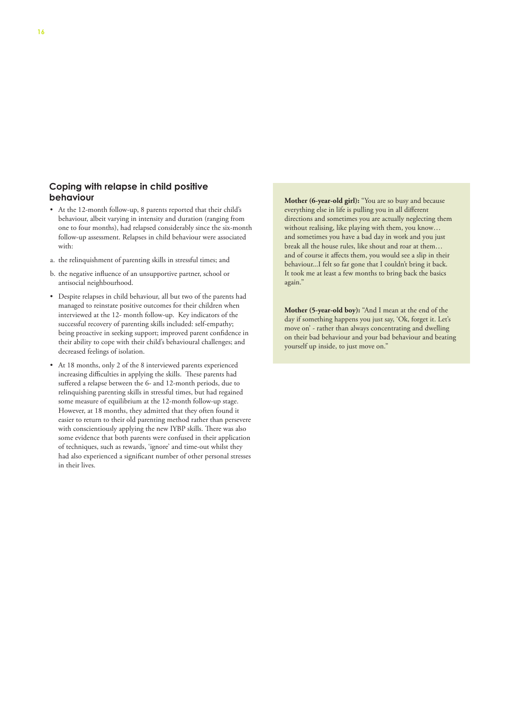#### **Coping with relapse in child positive behaviour**

- • At the 12-month follow-up, 8 parents reported that their child's behaviour, albeit varying in intensity and duration (ranging from one to four months), had relapsed considerably since the six-month follow-up assessment. Relapses in child behaviour were associated with:
- a. the relinquishment of parenting skills in stressful times; and
- b. the negative influence of an unsupportive partner, school or antisocial neighbourhood.
- • Despite relapses in child behaviour, all but two of the parents had managed to reinstate positive outcomes for their children when interviewed at the 12- month follow-up. Key indicators of the successful recovery of parenting skills included: self-empathy; being proactive in seeking support; improved parent confidence in their ability to cope with their child's behavioural challenges; and decreased feelings of isolation.
- • At 18 months, only 2 of the 8 interviewed parents experienced increasing difficulties in applying the skills. These parents had suffered a relapse between the 6- and 12-month periods, due to relinquishing parenting skills in stressful times, but had regained some measure of equilibrium at the 12-month follow-up stage. However, at 18 months, they admitted that they often found it easier to return to their old parenting method rather than persevere with conscientiously applying the new IYBP skills. There was also some evidence that both parents were confused in their application of techniques, such as rewards, 'ignore' and time-out whilst they had also experienced a significant number of other personal stresses in their lives.

Mother (6-year-old girl): "You are so busy and because everything else in life is pulling you in all different directions and sometimes you are actually neglecting them without realising, like playing with them, you know… and sometimes you have a bad day in work and you just break all the house rules, like shout and roar at them… and of course it affects them, you would see a slip in their behaviour...I felt so far gone that I couldn't bring it back. It took me at least a few months to bring back the basics again."

**Mother (5-year-old boy):** "And I mean at the end of the day if something happens you just say, 'Ok, forget it. Let's move on' - rather than always concentrating and dwelling on their bad behaviour and your bad behaviour and beating yourself up inside, to just move on."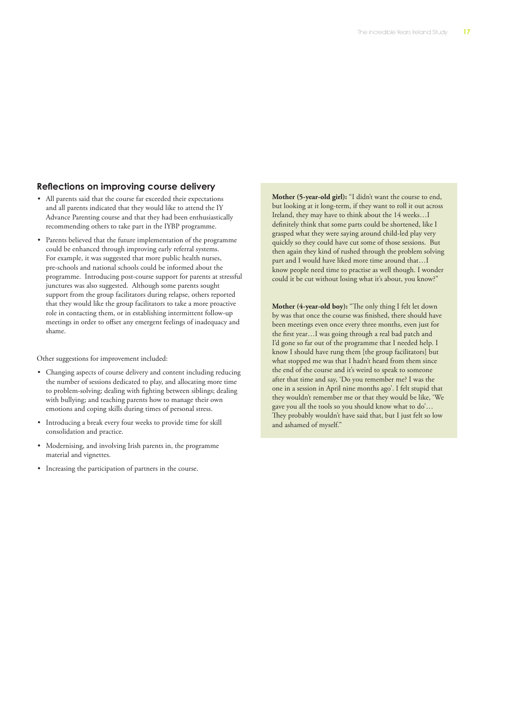#### **Reflections on improving course delivery**

- All parents said that the course far exceeded their expectations and all parents indicated that they would like to attend the IY Advance Parenting course and that they had been enthusiastically recommending others to take part in the IYBP programme.
- • Parents believed that the future implementation of the programme could be enhanced through improving early referral systems. For example, it was suggested that more public health nurses, pre-schools and national schools could be informed about the programme. Introducing post-course support for parents at stressful junctures was also suggested. Although some parents sought support from the group facilitators during relapse, others reported that they would like the group facilitators to take a more proactive role in contacting them, or in establishing intermittent follow-up meetings in order to offset any emergent feelings of inadequacy and shame.

Other suggestions for improvement included:

- • Changing aspects of course delivery and content including reducing the number of sessions dedicated to play, and allocating more time to problem-solving; dealing with fighting between siblings; dealing with bullying; and teaching parents how to manage their own emotions and coping skills during times of personal stress.
- • Introducing a break every four weeks to provide time for skill consolidation and practice.
- Modernising, and involving Irish parents in, the programme material and vignettes.
- • Increasing the participation of partners in the course.

**Mother (5-year-old girl):** "I didn't want the course to end, but looking at it long-term, if they want to roll it out across Ireland, they may have to think about the 14 weeks…I definitely think that some parts could be shortened, like I grasped what they were saying around child-led play very quickly so they could have cut some of those sessions. But then again they kind of rushed through the problem solving part and I would have liked more time around that…I know people need time to practise as well though. I wonder could it be cut without losing what it's about, you know?"

**Mother (4-year-old boy):** "The only thing I felt let down by was that once the course was finished, there should have been meetings even once every three months, even just for the first year…I was going through a real bad patch and I'd gone so far out of the programme that I needed help. I know I should have rung them [the group facilitators] but what stopped me was that I hadn't heard from them since the end of the course and it's weird to speak to someone after that time and say, 'Do you remember me? I was the one in a session in April nine months ago'. I felt stupid that they wouldn't remember me or that they would be like, 'We gave you all the tools so you should know what to do'… They probably wouldn't have said that, but I just felt so low and ashamed of myself."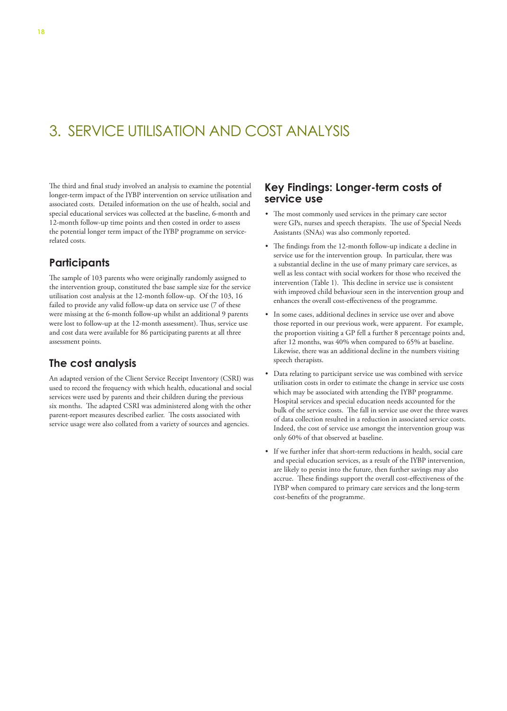## 3. SERVICE UTILISATION AND COST ANALYSIS

The third and final study involved an analysis to examine the potential longer-term impact of the IYBP intervention on service utilisation and associated costs. Detailed information on the use of health, social and special educational services was collected at the baseline, 6-month and 12-month follow-up time points and then costed in order to assess the potential longer term impact of the IYBP programme on servicerelated costs.

## **Participants**

The sample of 103 parents who were originally randomly assigned to the intervention group, constituted the base sample size for the service utilisation cost analysis at the 12-month follow-up. Of the 103, 16 failed to provide any valid follow-up data on service use (7 of these were missing at the 6-month follow-up whilst an additional 9 parents were lost to follow-up at the 12-month assessment). Thus, service use and cost data were available for 86 participating parents at all three assessment points.

## **The cost analysis**

An adapted version of the Client Service Receipt Inventory (CSRI) was used to record the frequency with which health, educational and social services were used by parents and their children during the previous six months. The adapted CSRI was administered along with the other parent-report measures described earlier. The costs associated with service usage were also collated from a variety of sources and agencies.

#### **Key Findings: Longer-term costs of service use**

- • The most commonly used services in the primary care sector were GPs, nurses and speech therapists. The use of Special Needs Assistants (SNAs) was also commonly reported.
- The findings from the 12-month follow-up indicate a decline in service use for the intervention group. In particular, there was a substantial decline in the use of many primary care services, as well as less contact with social workers for those who received the intervention (Table 1). This decline in service use is consistent with improved child behaviour seen in the intervention group and enhances the overall cost-effectiveness of the programme.
- • In some cases, additional declines in service use over and above those reported in our previous work, were apparent. For example, the proportion visiting a GP fell a further 8 percentage points and, after 12 months, was 40% when compared to 65% at baseline. Likewise, there was an additional decline in the numbers visiting speech therapists.
- Data relating to participant service use was combined with service utilisation costs in order to estimate the change in service use costs which may be associated with attending the IYBP programme. Hospital services and special education needs accounted for the bulk of the service costs. The fall in service use over the three waves of data collection resulted in a reduction in associated service costs. Indeed, the cost of service use amongst the intervention group was only 60% of that observed at baseline.
- • If we further infer that short-term reductions in health, social care and special education services, as a result of the IYBP intervention, are likely to persist into the future, then further savings may also accrue. These findings support the overall cost-effectiveness of the IYBP when compared to primary care services and the long-term cost-benefits of the programme.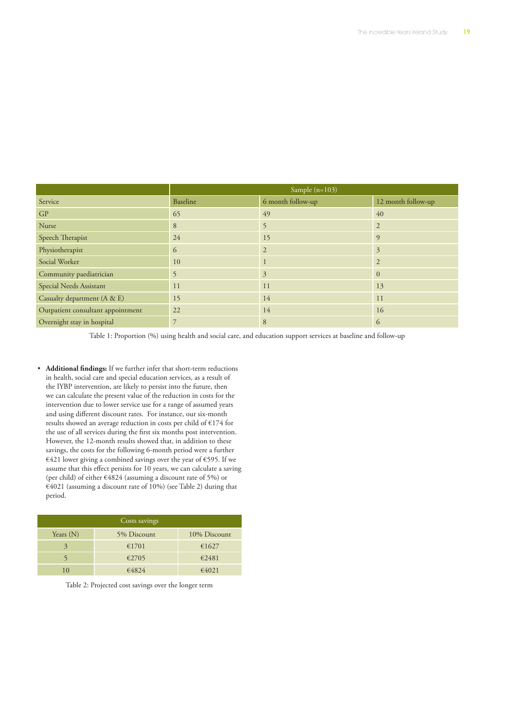|                                   | Sample (n=103) |                   |                    |
|-----------------------------------|----------------|-------------------|--------------------|
| Service                           | Baseline       | 6 month follow-up | 12 month follow-up |
| GP                                | 65             | 49                | 40                 |
| Nurse                             | 8              | 5                 | $\overline{2}$     |
| Speech Therapist                  | 24             | 15                | 9                  |
| Physiotherapist                   | 6              | $\overline{2}$    | 3                  |
| Social Worker                     | 10             |                   | $\overline{2}$     |
| Community paediatrician           | 5              | 3                 | $\Omega$           |
| Special Needs Assistant           | 11             | 11                | 13                 |
| Casualty department (A & E)       | 15             | 14                | 11                 |
| Outpatient consultant appointment | 22             | 14                | 16                 |
| Overnight stay in hospital        | 7              | 8                 | 6                  |

Table 1: Proportion (%) using health and social care, and education support services at baseline and follow-up

• **Additional findings:** If we further infer that short-term reductions in health, social care and special education services, as a result of the IYBP intervention, are likely to persist into the future, then we can calculate the present value of the reduction in costs for the intervention due to lower service use for a range of assumed years and using different discount rates. For instance, our six-month results showed an average reduction in costs per child of €174 for the use of all services during the first six months post intervention. However, the 12-month results showed that, in addition to these savings, the costs for the following 6-month period were a further €421 lower giving a combined savings over the year of €595. If we assume that this effect persists for 10 years, we can calculate a saving (per child) of either €4824 (assuming a discount rate of 5%) or €4021 (assuming a discount rate of 10%) (see Table 2) during that period.

| Costs savings |             |              |  |  |
|---------------|-------------|--------------|--|--|
| Years $(N)$   | 5% Discount | 10% Discount |  |  |
| 3             | €1701       | €1627        |  |  |
|               | €2705       | €2481        |  |  |
| 10            | €4824       | €4021        |  |  |

Table 2: Projected cost savings over the longer term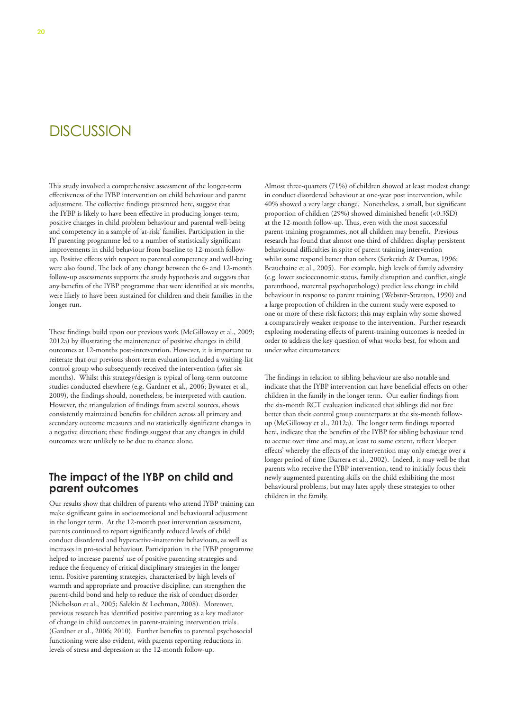## **DISCUSSION**

This study involved a comprehensive assessment of the longer-term effectiveness of the IYBP intervention on child behaviour and parent adjustment. The collective findings presented here, suggest that the IYBP is likely to have been effective in producing longer-term, positive changes in child problem behaviour and parental well-being and competency in a sample of 'at-risk' families. Participation in the IY parenting programme led to a number of statistically significant improvements in child behaviour from baseline to 12-month followup. Positive effects with respect to parental competency and well-being were also found. The lack of any change between the 6- and 12-month follow-up assessments supports the study hypothesis and suggests that any benefits of the IYBP programme that were identified at six months, were likely to have been sustained for children and their families in the longer run.

These findings build upon our previous work (McGilloway et al., 2009; 2012a) by illustrating the maintenance of positive changes in child outcomes at 12-months post-intervention. However, it is important to reiterate that our previous short-term evaluation included a waiting-list control group who subsequently received the intervention (after six months). Whilst this strategy/design is typical of long-term outcome studies conducted elsewhere (e.g. Gardner et al., 2006; Bywater et al., 2009), the findings should, nonetheless, be interpreted with caution. However, the triangulation of findings from several sources, shows consistently maintained benefits for children across all primary and secondary outcome measures and no statistically significant changes in a negative direction; these findings suggest that any changes in child outcomes were unlikely to be due to chance alone.

#### **The impact of the IYBP on child and parent outcomes**

Our results show that children of parents who attend IYBP training can make significant gains in socioemotional and behavioural adjustment in the longer term. At the 12-month post intervention assessment, parents continued to report significantly reduced levels of child conduct disordered and hyperactive-inattentive behaviours, as well as increases in pro-social behaviour. Participation in the IYBP programme helped to increase parents' use of positive parenting strategies and reduce the frequency of critical disciplinary strategies in the longer term. Positive parenting strategies, characterised by high levels of warmth and appropriate and proactive discipline, can strengthen the parent-child bond and help to reduce the risk of conduct disorder (Nicholson et al., 2005; Salekin & Lochman, 2008). Moreover, previous research has identified positive parenting as a key mediator of change in child outcomes in parent-training intervention trials (Gardner et al., 2006; 2010). Further benefits to parental psychosocial functioning were also evident, with parents reporting reductions in levels of stress and depression at the 12-month follow-up.

Almost three-quarters (71%) of children showed at least modest change in conduct disordered behaviour at one-year post intervention, while 40% showed a very large change. Nonetheless, a small, but significant proportion of children (29%) showed diminished benefit (<0.3SD) at the 12-month follow-up. Thus, even with the most successful parent-training programmes, not all children may benefit. Previous research has found that almost one-third of children display persistent behavioural difficulties in spite of parent training intervention whilst some respond better than others (Serketich & Dumas, 1996; Beauchaine et al., 2005). For example, high levels of family adversity (e.g. lower socioeconomic status, family disruption and conflict, single parenthood, maternal psychopathology) predict less change in child behaviour in response to parent training (Webster-Stratton, 1990) and a large proportion of children in the current study were exposed to one or more of these risk factors; this may explain why some showed a comparatively weaker response to the intervention. Further research exploring moderating effects of parent-training outcomes is needed in order to address the key question of what works best, for whom and under what circumstances.

The findings in relation to sibling behaviour are also notable and indicate that the IYBP intervention can have beneficial effects on other children in the family in the longer term. Our earlier findings from the six-month RCT evaluation indicated that siblings did not fare better than their control group counterparts at the six-month followup (McGilloway et al., 2012a). The longer term findings reported here, indicate that the benefits of the IYBP for sibling behaviour tend to accrue over time and may, at least to some extent, reflect 'sleeper effects' whereby the effects of the intervention may only emerge over a longer period of time (Barrera et al., 2002). Indeed, it may well be that parents who receive the IYBP intervention, tend to initially focus their newly augmented parenting skills on the child exhibiting the most behavioural problems, but may later apply these strategies to other children in the family.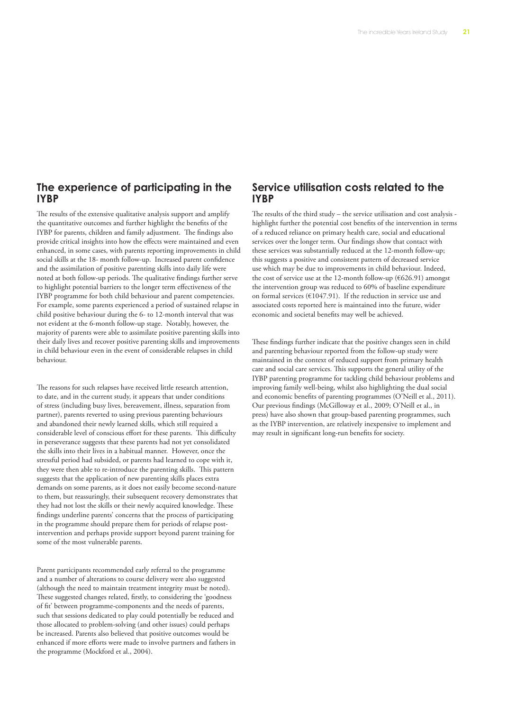#### **The experience of participating in the IYBP**

The results of the extensive qualitative analysis support and amplify the quantitative outcomes and further highlight the benefits of the IYBP for parents, children and family adjustment. The findings also provide critical insights into how the effects were maintained and even enhanced, in some cases, with parents reporting improvements in child social skills at the 18- month follow-up. Increased parent confidence and the assimilation of positive parenting skills into daily life were noted at both follow-up periods. The qualitative findings further serve to highlight potential barriers to the longer term effectiveness of the IYBP programme for both child behaviour and parent competencies. For example, some parents experienced a period of sustained relapse in child positive behaviour during the 6- to 12-month interval that was not evident at the 6-month follow-up stage. Notably, however, the majority of parents were able to assimilate positive parenting skills into their daily lives and recover positive parenting skills and improvements in child behaviour even in the event of considerable relapses in child behaviour.

The reasons for such relapses have received little research attention, to date, and in the current study, it appears that under conditions of stress (including busy lives, bereavement, illness, separation from partner), parents reverted to using previous parenting behaviours and abandoned their newly learned skills, which still required a considerable level of conscious effort for these parents. This difficulty in perseverance suggests that these parents had not yet consolidated the skills into their lives in a habitual manner. However, once the stressful period had subsided, or parents had learned to cope with it, they were then able to re-introduce the parenting skills. This pattern suggests that the application of new parenting skills places extra demands on some parents, as it does not easily become second-nature to them, but reassuringly, their subsequent recovery demonstrates that they had not lost the skills or their newly acquired knowledge. These findings underline parents' concerns that the process of participating in the programme should prepare them for periods of relapse postintervention and perhaps provide support beyond parent training for some of the most vulnerable parents.

Parent participants recommended early referral to the programme and a number of alterations to course delivery were also suggested (although the need to maintain treatment integrity must be noted). These suggested changes related, firstly, to considering the 'goodness of fit' between programme-components and the needs of parents, such that sessions dedicated to play could potentially be reduced and those allocated to problem-solving (and other issues) could perhaps be increased. Parents also believed that positive outcomes would be enhanced if more efforts were made to involve partners and fathers in the programme (Mockford et al., 2004).

#### **Service utilisation costs related to the IYBP**

The results of the third study – the service utilisation and cost analysis highlight further the potential cost benefits of the intervention in terms of a reduced reliance on primary health care, social and educational services over the longer term. Our findings show that contact with these services was substantially reduced at the 12-month follow-up; this suggests a positive and consistent pattern of decreased service use which may be due to improvements in child behaviour. Indeed, the cost of service use at the 12-month follow-up ( $626.91$ ) amongst the intervention group was reduced to 60% of baseline expenditure on formal services (€1047.91). If the reduction in service use and associated costs reported here is maintained into the future, wider economic and societal benefits may well be achieved.

These findings further indicate that the positive changes seen in child and parenting behaviour reported from the follow-up study were maintained in the context of reduced support from primary health care and social care services. This supports the general utility of the IYBP parenting programme for tackling child behaviour problems and improving family well-being, whilst also highlighting the dual social and economic benefits of parenting programmes (O'Neill et al., 2011). Our previous findings (McGilloway et al., 2009; O'Neill et al., in press) have also shown that group-based parenting programmes, such as the IYBP intervention, are relatively inexpensive to implement and may result in significant long-run benefits for society.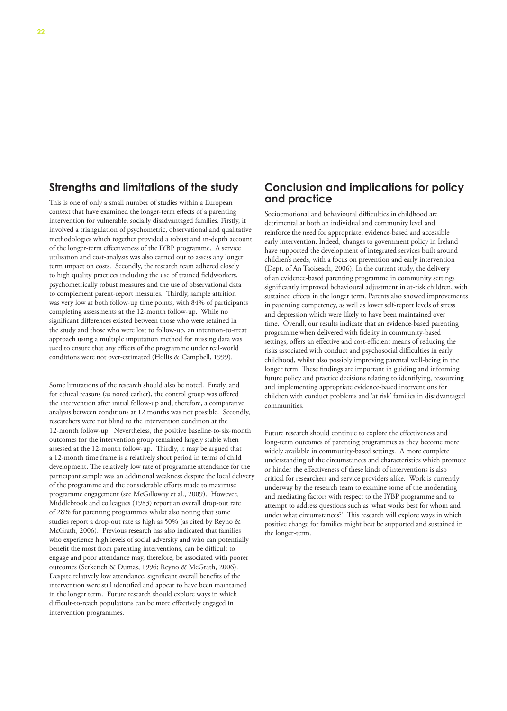#### **Strengths and limitations of the study**

This is one of only a small number of studies within a European context that have examined the longer-term effects of a parenting intervention for vulnerable, socially disadvantaged families. Firstly, it involved a triangulation of psychometric, observational and qualitative methodologies which together provided a robust and in-depth account of the longer-term effectiveness of the IYBP programme. A service utilisation and cost-analysis was also carried out to assess any longer term impact on costs. Secondly, the research team adhered closely to high quality practices including the use of trained fieldworkers, psychometrically robust measures and the use of observational data to complement parent-report measures. Thirdly, sample attrition was very low at both follow-up time points, with 84% of participants completing assessments at the 12-month follow-up. While no significant differences existed between those who were retained in the study and those who were lost to follow-up, an intention-to-treat approach using a multiple imputation method for missing data was used to ensure that any effects of the programme under real-world conditions were not over-estimated (Hollis & Campbell, 1999).

Some limitations of the research should also be noted. Firstly, and for ethical reasons (as noted earlier), the control group was offered the intervention after initial follow-up and, therefore, a comparative analysis between conditions at 12 months was not possible. Secondly, researchers were not blind to the intervention condition at the 12-month follow-up. Nevertheless, the positive baseline-to-six-month outcomes for the intervention group remained largely stable when assessed at the 12-month follow-up. Thirdly, it may be argued that a 12-month time frame is a relatively short period in terms of child development. The relatively low rate of programme attendance for the participant sample was an additional weakness despite the local delivery of the programme and the considerable efforts made to maximise programme engagement (see McGilloway et al., 2009). However, Middlebrook and colleagues (1983) report an overall drop-out rate of 28% for parenting programmes whilst also noting that some studies report a drop-out rate as high as 50% (as cited by Reyno & McGrath, 2006). Previous research has also indicated that families who experience high levels of social adversity and who can potentially benefit the most from parenting interventions, can be difficult to engage and poor attendance may, therefore, be associated with poorer outcomes (Serketich & Dumas, 1996; Reyno & McGrath, 2006). Despite relatively low attendance, significant overall benefits of the intervention were still identified and appear to have been maintained in the longer term. Future research should explore ways in which difficult-to-reach populations can be more effectively engaged in intervention programmes.

#### **Conclusion and implications for policy and practice**

Socioemotional and behavioural difficulties in childhood are detrimental at both an individual and community level and reinforce the need for appropriate, evidence-based and accessible early intervention. Indeed, changes to government policy in Ireland have supported the development of integrated services built around children's needs, with a focus on prevention and early intervention (Dept. of An Taoiseach, 2006). In the current study, the delivery of an evidence-based parenting programme in community settings significantly improved behavioural adjustment in at-risk children, with sustained effects in the longer term. Parents also showed improvements in parenting competency, as well as lower self-report levels of stress and depression which were likely to have been maintained over time. Overall, our results indicate that an evidence-based parenting programme when delivered with fidelity in community-based settings, offers an effective and cost-efficient means of reducing the risks associated with conduct and psychosocial difficulties in early childhood, whilst also possibly improving parental well-being in the longer term. These findings are important in guiding and informing future policy and practice decisions relating to identifying, resourcing and implementing appropriate evidence-based interventions for children with conduct problems and 'at risk' families in disadvantaged communities.

Future research should continue to explore the effectiveness and long-term outcomes of parenting programmes as they become more widely available in community-based settings. A more complete understanding of the circumstances and characteristics which promote or hinder the effectiveness of these kinds of interventions is also critical for researchers and service providers alike. Work is currently underway by the research team to examine some of the moderating and mediating factors with respect to the IYBP programme and to attempt to address questions such as 'what works best for whom and under what circumstances?' This research will explore ways in which positive change for families might best be supported and sustained in the longer-term.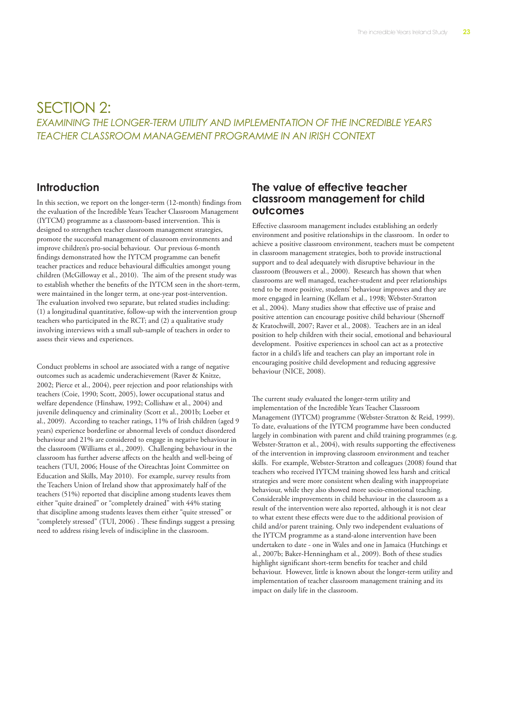## SECTION 2: *EXAMINING THE LONGER-TERM UTILITY AND IMPLEMENTATION OF THE INCREDIBLE YEARS TEACHER CLASSROOM MANAGEMENT PROGRAMME IN AN IRISH CONTEXT*

#### **Introduction**

In this section, we report on the longer-term (12-month) findings from the evaluation of the Incredible Years Teacher Classroom Management (IYTCM) programme as a classroom-based intervention. This is designed to strengthen teacher classroom management strategies, promote the successful management of classroom environments and improve children's pro-social behaviour. Our previous 6-month findings demonstrated how the IYTCM programme can benefit teacher practices and reduce behavioural difficulties amongst young children (McGilloway et al., 2010). The aim of the present study was to establish whether the benefits of the IYTCM seen in the short-term, were maintained in the longer term, at one-year post-intervention. The evaluation involved two separate, but related studies including: (1) a longitudinal quantitative, follow-up with the intervention group teachers who participated in the RCT; and (2) a qualitative study involving interviews with a small sub-sample of teachers in order to assess their views and experiences.

Conduct problems in school are associated with a range of negative outcomes such as academic underachievement (Raver & Knitze, 2002; Pierce et al., 2004), peer rejection and poor relationships with teachers (Coie, 1990; Scott, 2005), lower occupational status and welfare dependence (Hinshaw, 1992; Collishaw et al., 2004) and juvenile delinquency and criminality (Scott et al., 2001b; Loeber et al., 2009). According to teacher ratings, 11% of Irish children (aged 9 years) experience borderline or abnormal levels of conduct disordered behaviour and 21% are considered to engage in negative behaviour in the classroom (Williams et al., 2009). Challenging behaviour in the classroom has further adverse affects on the health and well-being of teachers (TUI, 2006; House of the Oireachtas Joint Committee on Education and Skills, May 2010). For example, survey results from the Teachers Union of Ireland show that approximately half of the teachers (51%) reported that discipline among students leaves them either "quite drained" or "completely drained" with 44% stating that discipline among students leaves them either "quite stressed" or "completely stressed" (TUI, 2006) . These findings suggest a pressing need to address rising levels of indiscipline in the classroom.

#### **The value of effective teacher classroom management for child outcomes**

Effective classroom management includes establishing an orderly environment and positive relationships in the classroom. In order to achieve a positive classroom environment, teachers must be competent in classroom management strategies, both to provide instructional support and to deal adequately with disruptive behaviour in the classroom (Brouwers et al., 2000). Research has shown that when classrooms are well managed, teacher-student and peer relationships tend to be more positive, students' behaviour improves and they are more engaged in learning (Kellam et al., 1998; Webster-Stratton et al., 2004). Many studies show that effective use of praise and positive attention can encourage positive child behaviour (Shernoff & Kratochwill, 2007; Raver et al., 2008). Teachers are in an ideal position to help children with their social, emotional and behavioural development. Positive experiences in school can act as a protective factor in a child's life and teachers can play an important role in encouraging positive child development and reducing aggressive behaviour (NICE, 2008).

The current study evaluated the longer-term utility and implementation of the Incredible Years Teacher Classroom Management (IYTCM) programme (Webster-Stratton & Reid, 1999). To date, evaluations of the IYTCM programme have been conducted largely in combination with parent and child training programmes (e.g. Webster-Stratton et al., 2004), with results supporting the effectiveness of the intervention in improving classroom environment and teacher skills. For example, Webster-Stratton and colleagues (2008) found that teachers who received IYTCM training showed less harsh and critical strategies and were more consistent when dealing with inappropriate behaviour, while they also showed more socio-emotional teaching. Considerable improvements in child behaviour in the classroom as a result of the intervention were also reported, although it is not clear to what extent these effects were due to the additional provision of child and/or parent training. Only two independent evaluations of the IYTCM programme as a stand-alone intervention have been undertaken to date - one in Wales and one in Jamaica (Hutchings et al., 2007b; Baker-Henningham et al., 2009). Both of these studies highlight significant short-term benefits for teacher and child behaviour. However, little is known about the longer-term utility and implementation of teacher classroom management training and its impact on daily life in the classroom.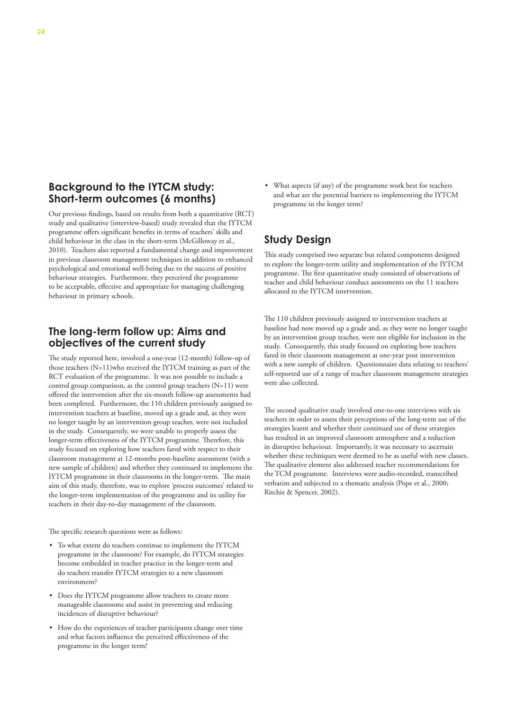#### **Background to the IYTCM study: Short-term outcomes (6 months)**

Our previous findings, based on results from both a quantitative (RCT) study and qualitative (interview-based) study revealed that the IYTCM programme offers significant benefits in terms of teachers' skills and child behaviour in the class in the short-term (McGilloway et al., 2010). Teachers also reported a fundamental change and improvement in previous classroom management techniques in addition to enhanced psychological and emotional well-being due to the success of positive behaviour strategies. Furthermore, they perceived the programme to be acceptable, effective and appropriate for managing challenging behaviour in primary schools.

### **The long-term follow up: Aims and objectives of the current study**

The study reported here, involved a one-year (12-month) follow-up of those teachers (N=11)who received the IYTCM training as part of the RCT evaluation of the programme. It was not possible to include a control group comparison, as the control group teachers (N=11) were offered the intervention after the six-month follow-up assessments had been completed. Furthermore, the 110 children previously assigned to intervention teachers at baseline, moved up a grade and, as they were no longer taught by an intervention group teacher, were not included in the study. Consequently, we were unable to properly assess the longer-term effectiveness of the IYTCM programme. Therefore, this study focused on exploring how teachers fared with respect to their classroom management at 12-months post-baseline assessment (with a new sample of children) and whether they continued to implement the IYTCM programme in their classrooms in the longer-term. The main aim of this study, therefore, was to explore 'process outcomes' related to the longer-term implementation of the programme and its utility for teachers in their day-to-day management of the classroom.

The specific research questions were as follows:

- • To what extent do teachers continue to implement the IYTCM programme in the classroom? For example, do IYTCM strategies become embedded in teacher practice in the longer-term and do teachers transfer IYTCM strategies to a new classroom environment?
- Does the IYTCM programme allow teachers to create more manageable classrooms and assist in preventing and reducing incidences of disruptive behaviour?
- • How do the experiences of teacher participants change over time and what factors influence the perceived effectiveness of the programme in the longer term?

• What aspects (if any) of the programme work best for teachers and what are the potential barriers to implementing the IYTCM programme in the longer term?

## **Study Design**

This study comprised two separate but related components designed to explore the longer-term utility and implementation of the IYTCM programme. The first quantitative study consisted of observations of teacher and child behaviour conduct assessments on the 11 teachers allocated to the IYTCM intervention.

The 110 children previously assigned to intervention teachers at baseline had now moved up a grade and, as they were no longer taught by an intervention group teacher, were not eligible for inclusion in the study. Consequently, this study focused on exploring how teachers fared in their classroom management at one-year post intervention with a new sample of children. Questionnaire data relating to teachers' self-reported use of a range of teacher classroom management strategies were also collected.

The second qualitative study involved one-to-one interviews with six teachers in order to assess their perceptions of the long-term use of the strategies learnt and whether their continued use of these strategies has resulted in an improved classroom atmosphere and a reduction in disruptive behaviour. Importantly, it was necessary to ascertain whether these techniques were deemed to be as useful with new classes. The qualitative element also addressed teacher recommendations for the TCM programme. Interviews were audio-recorded, transcribed verbatim and subjected to a thematic analysis (Pope et al., 2000; Ritchie & Spencer, 2002).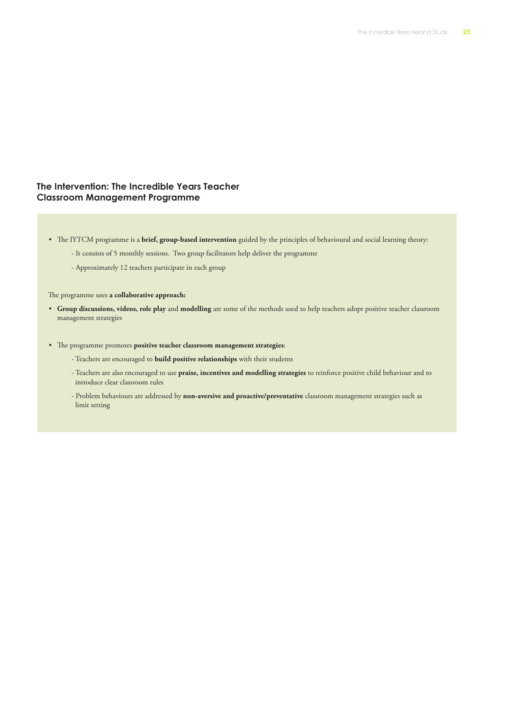#### **The Intervention: The Incredible Years Teacher Classroom Management Programme**

- • The IYTCM programme is a **brief, group-based intervention** guided by the principles of behavioural and social learning theory:
	- It consists of 5 monthly sessions. Two group facilitators help deliver the programme
	- Approximately 12 teachers participate in each group

The programme uses **a collaborative approach:**

- • **Group discussions, videos, role play** and **modelling** are some of the methods used to help teachers adopt positive teacher classroom management strategies
- • The programme promotes **positive teacher classroom management strategies**:
	- Teachers are encouraged to **build positive relationships** with their students
	- Teachers are also encouraged to use **praise, incentives and modelling strategies** to reinforce positive child behaviour and to introduce clear classroom rules
	- Problem behaviours are addressed by **non-aversive and proactive/preventative** classroom management strategies such as limit setting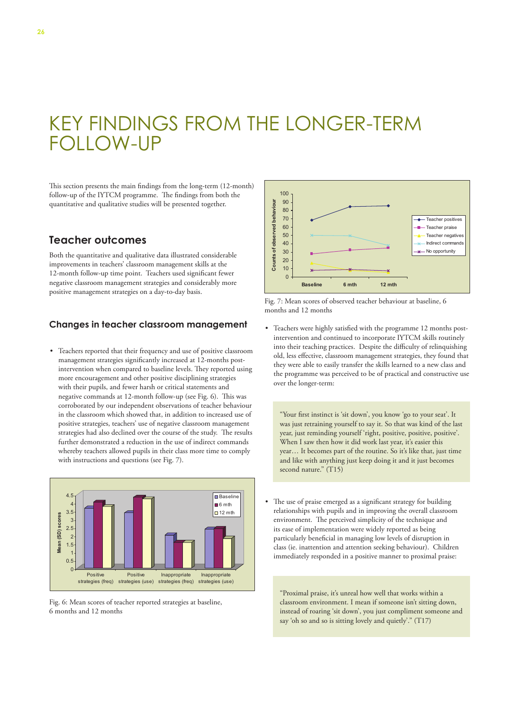## KEY FINDINGS FROM THE LONGER-TERM FOLLOW-UP l H

This section presents the main findings from the long-term (12-month) follow-up of the IYTCM programme. The findings from both the quantitative and qualitative studies will be presented together.

#### **Teacher outcomes**

Both the quantitative and qualitative data illustrated considerable improvements in teachers' classroom management skills at the 12-month follow-up time point. Teachers used significant fewer negative classroom management strategies and considerably more positive management strategies on a day-to-day basis.

#### **Changes in teacher classroom management**

• Teachers reported that their frequency and use of positive classroom management strategies significantly increased at 12-months postintervention when compared to baseline levels. They reported using more encouragement and other positive disciplining strategies with their pupils, and fewer harsh or critical statements and negative commands at 12-month follow-up (see Fig. 6). This was corroborated by our independent observations of teacher behaviour in the classroom which showed that, in addition to increased use of positive strategies, teachers' use of negative classroom management strategies had also declined over the course of the study. The results further demonstrated a reduction in the use of indirect commands whereby teachers allowed pupils in their class more time to comply with instructions and questions (see Fig. 7).



Fig. 6: Mean scores of teacher reported strategies at baseline, 6 months and 12 months





• Teachers were highly satisfied with the programme 12 months postintervention and continued to incorporate IYTCM skills routinely into their teaching practices. Despite the difficulty of relinquishing old, less effective, classroom management strategies, they found that they were able to easily transfer the skills learned to a new class and the programme was perceived to be of practical and constructive use over the longer-term:

"Your first instinct is 'sit down', you know 'go to your seat'. It was just retraining yourself to say it. So that was kind of the last year, just reminding yourself 'right, positive, positive, positive'. When I saw then how it did work last year, it's easier this year… It becomes part of the routine. So it's like that, just time and like with anything just keep doing it and it just becomes second nature." (T15)

• The use of praise emerged as a significant strategy for building relationships with pupils and in improving the overall classroom environment. The perceived simplicity of the technique and its ease of implementation were widely reported as being particularly beneficial in managing low levels of disruption in class (ie. inattention and attention seeking behaviour). Children immediately responded in a positive manner to proximal praise:

"Proximal praise, it's unreal how well that works within a classroom environment. I mean if someone isn't sitting down, instead of roaring 'sit down', you just compliment someone and say 'oh so and so is sitting lovely and quietly'." (T17)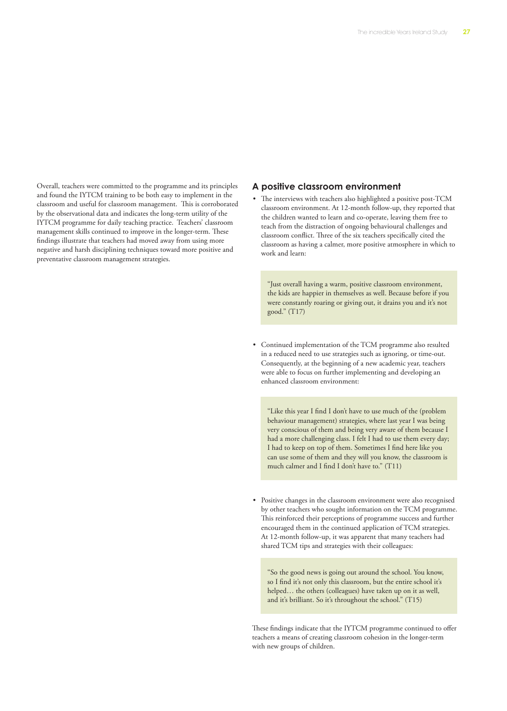Overall, teachers were committed to the programme and its principles and found the IYTCM training to be both easy to implement in the classroom and useful for classroom management. This is corroborated by the observational data and indicates the long-term utility of the IYTCM programme for daily teaching practice. Teachers' classroom management skills continued to improve in the longer-term. These findings illustrate that teachers had moved away from using more negative and harsh disciplining techniques toward more positive and preventative classroom management strategies.

#### **A positive classroom environment**

The interviews with teachers also highlighted a positive post-TCM classroom environment. At 12-month follow-up, they reported that the children wanted to learn and co-operate, leaving them free to teach from the distraction of ongoing behavioural challenges and classroom conflict. Three of the six teachers specifically cited the classroom as having a calmer, more positive atmosphere in which to work and learn:

"Just overall having a warm, positive classroom environment, the kids are happier in themselves as well. Because before if you were constantly roaring or giving out, it drains you and it's not good." (T17)

• Continued implementation of the TCM programme also resulted in a reduced need to use strategies such as ignoring, or time-out. Consequently, at the beginning of a new academic year, teachers were able to focus on further implementing and developing an enhanced classroom environment:

"Like this year I find I don't have to use much of the (problem behaviour management) strategies, where last year I was being very conscious of them and being very aware of them because I had a more challenging class. I felt I had to use them every day; I had to keep on top of them. Sometimes I find here like you can use some of them and they will you know, the classroom is much calmer and I find I don't have to." (T11)

• Positive changes in the classroom environment were also recognised by other teachers who sought information on the TCM programme. This reinforced their perceptions of programme success and further encouraged them in the continued application of TCM strategies. At 12-month follow-up, it was apparent that many teachers had shared TCM tips and strategies with their colleagues:

"So the good news is going out around the school. You know, so I find it's not only this classroom, but the entire school it's helped… the others (colleagues) have taken up on it as well, and it's brilliant. So it's throughout the school." (T15)

These findings indicate that the IYTCM programme continued to offer teachers a means of creating classroom cohesion in the longer-term with new groups of children.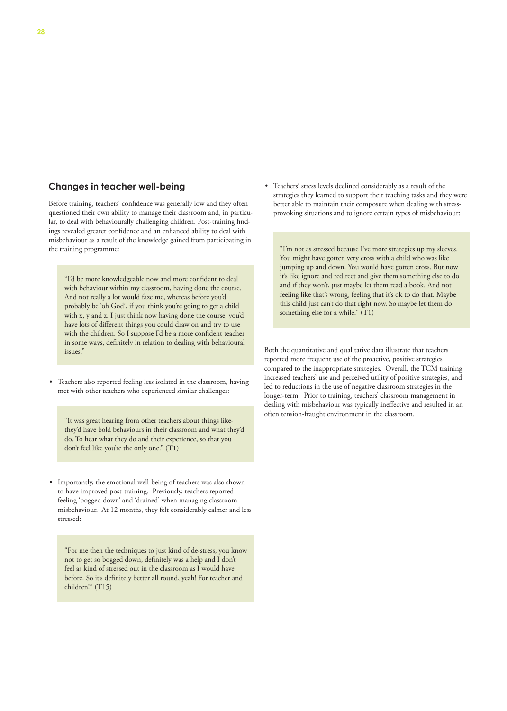#### **Changes in teacher well-being**

Before training, teachers' confidence was generally low and they often questioned their own ability to manage their classroom and, in particular, to deal with behaviourally challenging children. Post-training findings revealed greater confidence and an enhanced ability to deal with misbehaviour as a result of the knowledge gained from participating in the training programme:

"I'd be more knowledgeable now and more confident to deal with behaviour within my classroom, having done the course. And not really a lot would faze me, whereas before you'd probably be 'oh God', if you think you're going to get a child with x, y and z. I just think now having done the course, you'd have lots of different things you could draw on and try to use with the children. So I suppose I'd be a more confident teacher in some ways, definitely in relation to dealing with behavioural issues."

• Teachers also reported feeling less isolated in the classroom, having met with other teachers who experienced similar challenges:

often tension-fraught environment in the classroom. "It was great hearing from other teachers about things likethey'd have bold behaviours in their classroom and what they'd do. To hear what they do and their experience, so that you don't feel like you're the only one." (T1)

• Importantly, the emotional well-being of teachers was also shown to have improved post-training. Previously, teachers reported feeling 'bogged down' and 'drained' when managing classroom misbehaviour. At 12 months, they felt considerably calmer and less stressed:

"For me then the techniques to just kind of de-stress, you know not to get so bogged down, definitely was a help and I don't feel as kind of stressed out in the classroom as I would have before. So it's definitely better all round, yeah! For teacher and children!" (T15)

• Teachers' stress levels declined considerably as a result of the strategies they learned to support their teaching tasks and they were better able to maintain their composure when dealing with stressprovoking situations and to ignore certain types of misbehaviour:

"I'm not as stressed because I've more strategies up my sleeves. You might have gotten very cross with a child who was like jumping up and down. You would have gotten cross. But now it's like ignore and redirect and give them something else to do and if they won't, just maybe let them read a book. And not feeling like that's wrong, feeling that it's ok to do that. Maybe this child just can't do that right now. So maybe let them do something else for a while." (T1)

Both the quantitative and qualitative data illustrate that teachers reported more frequent use of the proactive, positive strategies compared to the inappropriate strategies. Overall, the TCM training increased teachers' use and perceived utility of positive strategies, and led to reductions in the use of negative classroom strategies in the longer-term. Prior to training, teachers' classroom management in dealing with misbehaviour was typically ineffective and resulted in an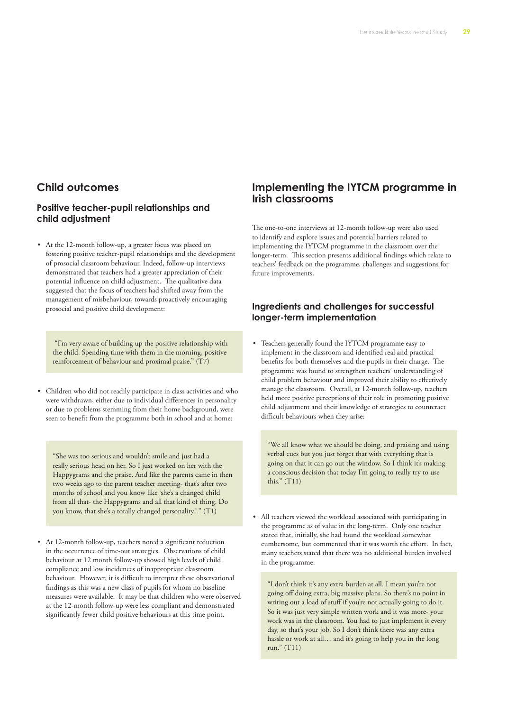#### **Child outcomes**

#### **Positive teacher-pupil relationships and child adjustment**

• At the 12-month follow-up, a greater focus was placed on fostering positive teacher-pupil relationships and the development of prosocial classroom behaviour. Indeed, follow-up interviews demonstrated that teachers had a greater appreciation of their potential influence on child adjustment. The qualitative data suggested that the focus of teachers had shifted away from the management of misbehaviour, towards proactively encouraging prosocial and positive child development:

 "I'm very aware of building up the positive relationship with the child. Spending time with them in the morning, positive reinforcement of behaviour and proximal praise." (T7)

• Children who did not readily participate in class activities and who were withdrawn, either due to individual differences in personality or due to problems stemming from their home background, were seen to benefit from the programme both in school and at home:

"She was too serious and wouldn't smile and just had a really serious head on her. So I just worked on her with the Happygrams and the praise. And like the parents came in then two weeks ago to the parent teacher meeting- that's after two months of school and you know like 'she's a changed child from all that- the Happygrams and all that kind of thing. Do you know, that she's a totally changed personality.'." (T1)

• At 12-month follow-up, teachers noted a significant reduction in the occurrence of time-out strategies. Observations of child behaviour at 12 month follow-up showed high levels of child compliance and low incidences of inappropriate classroom behaviour. However, it is difficult to interpret these observational findings as this was a new class of pupils for whom no baseline measures were available. It may be that children who were observed at the 12-month follow-up were less compliant and demonstrated significantly fewer child positive behaviours at this time point.

#### **Implementing the IYTCM programme in Irish classrooms**

The one-to-one interviews at 12-month follow-up were also used to identify and explore issues and potential barriers related to implementing the IYTCM programme in the classroom over the longer-term. This section presents additional findings which relate to teachers' feedback on the programme, challenges and suggestions for future improvements.

#### **Ingredients and challenges for successful longer-term implementation**

• Teachers generally found the IYTCM programme easy to implement in the classroom and identified real and practical benefits for both themselves and the pupils in their charge. The programme was found to strengthen teachers' understanding of child problem behaviour and improved their ability to effectively manage the classroom. Overall, at 12-month follow-up, teachers held more positive perceptions of their role in promoting positive child adjustment and their knowledge of strategies to counteract difficult behaviours when they arise:

"We all know what we should be doing, and praising and using verbal cues but you just forget that with everything that is going on that it can go out the window. So I think it's making a conscious decision that today I'm going to really try to use this." (T11)

All teachers viewed the workload associated with participating in the programme as of value in the long-term. Only one teacher stated that, initially, she had found the workload somewhat cumbersome, but commented that it was worth the effort. In fact, many teachers stated that there was no additional burden involved in the programme:

"I don't think it's any extra burden at all. I mean you're not going off doing extra, big massive plans. So there's no point in writing out a load of stuff if you're not actually going to do it. So it was just very simple written work and it was more- your work was in the classroom. You had to just implement it every day, so that's your job. So I don't think there was any extra hassle or work at all… and it's going to help you in the long run." (T11)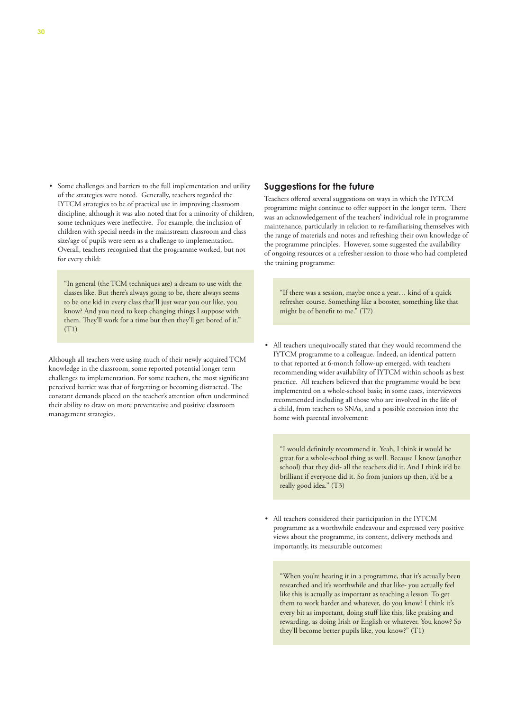Some challenges and barriers to the full implementation and utility of the strategies were noted. Generally, teachers regarded the IYTCM strategies to be of practical use in improving classroom discipline, although it was also noted that for a minority of children, some techniques were ineffective. For example, the inclusion of children with special needs in the mainstream classroom and class size/age of pupils were seen as a challenge to implementation. Overall, teachers recognised that the programme worked, but not for every child:

"In general (the TCM techniques are) a dream to use with the classes like. But there's always going to be, there always seems to be one kid in every class that'll just wear you out like, you know? And you need to keep changing things I suppose with them. They'll work for a time but then they'll get bored of it."  $(T1)$ 

Although all teachers were using much of their newly acquired TCM knowledge in the classroom, some reported potential longer term challenges to implementation. For some teachers, the most significant perceived barrier was that of forgetting or becoming distracted. The constant demands placed on the teacher's attention often undermined their ability to draw on more preventative and positive classroom management strategies.

#### **Suggestions for the future**

Teachers offered several suggestions on ways in which the IYTCM programme might continue to offer support in the longer term. There was an acknowledgement of the teachers' individual role in programme maintenance, particularly in relation to re-familiarising themselves with the range of materials and notes and refreshing their own knowledge of the programme principles. However, some suggested the availability of ongoing resources or a refresher session to those who had completed the training programme:

"If there was a session, maybe once a year… kind of a quick refresher course. Something like a booster, something like that might be of benefit to me." (T7)

All teachers unequivocally stated that they would recommend the IYTCM programme to a colleague. Indeed, an identical pattern to that reported at 6-month follow-up emerged, with teachers recommending wider availability of IYTCM within schools as best practice. All teachers believed that the programme would be best implemented on a whole-school basis; in some cases, interviewees recommended including all those who are involved in the life of a child, from teachers to SNAs, and a possible extension into the home with parental involvement:

"I would definitely recommend it. Yeah, I think it would be great for a whole-school thing as well. Because I know (another school) that they did- all the teachers did it. And I think it'd be brilliant if everyone did it. So from juniors up then, it'd be a really good idea." (T3)

• All teachers considered their participation in the IYTCM programme as a worthwhile endeavour and expressed very positive views about the programme, its content, delivery methods and importantly, its measurable outcomes:

"When you're hearing it in a programme, that it's actually been researched and it's worthwhile and that like- you actually feel like this is actually as important as teaching a lesson. To get them to work harder and whatever, do you know? I think it's every bit as important, doing stuff like this, like praising and rewarding, as doing Irish or English or whatever. You know? So they'll become better pupils like, you know?" (T1)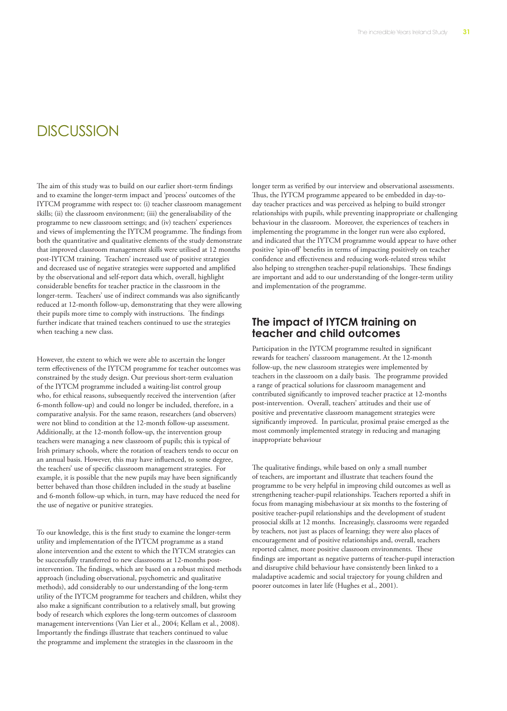## **DISCUSSION**

The aim of this study was to build on our earlier short-term findings and to examine the longer-term impact and 'process' outcomes of the IYTCM programme with respect to: (i) teacher classroom management skills; (ii) the classroom environment; (iii) the generalisability of the programme to new classroom settings; and (iv) teachers' experiences and views of implementing the IYTCM programme. The findings from both the quantitative and qualitative elements of the study demonstrate that improved classroom management skills were utilised at 12 months post-IYTCM training. Teachers' increased use of positive strategies and decreased use of negative strategies were supported and amplified by the observational and self-report data which, overall, highlight considerable benefits for teacher practice in the classroom in the longer-term. Teachers' use of indirect commands was also significantly reduced at 12-month follow-up, demonstrating that they were allowing their pupils more time to comply with instructions. The findings further indicate that trained teachers continued to use the strategies when teaching a new class.

However, the extent to which we were able to ascertain the longer term effectiveness of the IYTCM programme for teacher outcomes was constrained by the study design. Our previous short-term evaluation of the IYTCM programme included a waiting-list control group who, for ethical reasons, subsequently received the intervention (after 6-month follow-up) and could no longer be included, therefore, in a comparative analysis. For the same reason, researchers (and observers) were not blind to condition at the 12-month follow-up assessment. Additionally, at the 12-month follow-up, the intervention group teachers were managing a new classroom of pupils; this is typical of Irish primary schools, where the rotation of teachers tends to occur on an annual basis. However, this may have influenced, to some degree, the teachers' use of specific classroom management strategies. For example, it is possible that the new pupils may have been significantly better behaved than those children included in the study at baseline and 6-month follow-up which, in turn, may have reduced the need for the use of negative or punitive strategies.

To our knowledge, this is the first study to examine the longer-term utility and implementation of the IYTCM programme as a stand alone intervention and the extent to which the IYTCM strategies can be successfully transferred to new classrooms at 12-months postintervention. The findings, which are based on a robust mixed methods approach (including observational, psychometric and qualitative methods), add considerably to our understanding of the long-term utility of the IYTCM programme for teachers and children, whilst they also make a significant contribution to a relatively small, but growing body of research which explores the long-term outcomes of classroom management interventions (Van Lier et al., 2004; Kellam et al., 2008). Importantly the findings illustrate that teachers continued to value the programme and implement the strategies in the classroom in the

longer term as verified by our interview and observational assessments. Thus, the IYTCM programme appeared to be embedded in day-today teacher practices and was perceived as helping to build stronger relationships with pupils, while preventing inappropriate or challenging behaviour in the classroom. Moreover, the experiences of teachers in implementing the programme in the longer run were also explored, and indicated that the IYTCM programme would appear to have other positive 'spin-off' benefits in terms of impacting positively on teacher confidence and effectiveness and reducing work-related stress whilst also helping to strengthen teacher-pupil relationships. These findings are important and add to our understanding of the longer-term utility and implementation of the programme.

#### **The impact of IYTCM training on teacher and child outcomes**

Participation in the IYTCM programme resulted in significant rewards for teachers' classroom management. At the 12-month follow-up, the new classroom strategies were implemented by teachers in the classroom on a daily basis. The programme provided a range of practical solutions for classroom management and contributed significantly to improved teacher practice at 12-months post-intervention. Overall, teachers' attitudes and their use of positive and preventative classroom management strategies were significantly improved. In particular, proximal praise emerged as the most commonly implemented strategy in reducing and managing inappropriate behaviour

The qualitative findings, while based on only a small number of teachers, are important and illustrate that teachers found the programme to be very helpful in improving child outcomes as well as strengthening teacher-pupil relationships. Teachers reported a shift in focus from managing misbehaviour at six months to the fostering of positive teacher-pupil relationships and the development of student prosocial skills at 12 months. Increasingly, classrooms were regarded by teachers, not just as places of learning; they were also places of encouragement and of positive relationships and, overall, teachers reported calmer, more positive classroom environments. These findings are important as negative patterns of teacher-pupil interaction and disruptive child behaviour have consistently been linked to a maladaptive academic and social trajectory for young children and poorer outcomes in later life (Hughes et al., 2001).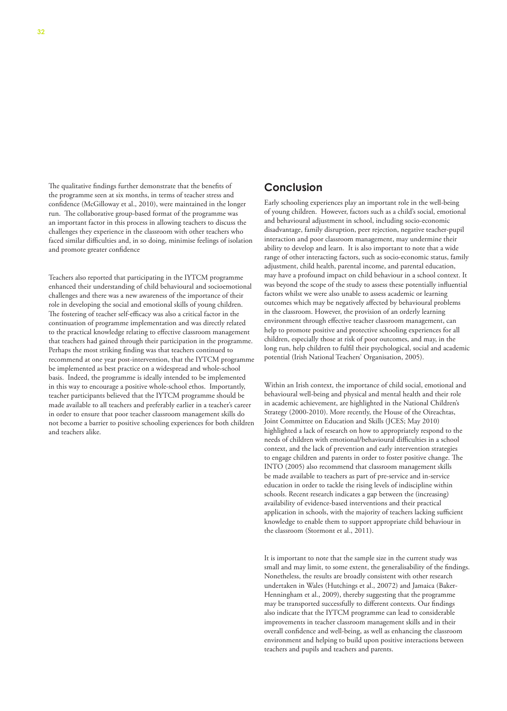The qualitative findings further demonstrate that the benefits of the programme seen at six months, in terms of teacher stress and confidence (McGilloway et al., 2010), were maintained in the longer run. The collaborative group-based format of the programme was an important factor in this process in allowing teachers to discuss the challenges they experience in the classroom with other teachers who faced similar difficulties and, in so doing, minimise feelings of isolation and promote greater confidence

Teachers also reported that participating in the IYTCM programme enhanced their understanding of child behavioural and socioemotional challenges and there was a new awareness of the importance of their role in developing the social and emotional skills of young children. The fostering of teacher self-efficacy was also a critical factor in the continuation of programme implementation and was directly related to the practical knowledge relating to effective classroom management that teachers had gained through their participation in the programme. Perhaps the most striking finding was that teachers continued to recommend at one year post-intervention, that the IYTCM programme be implemented as best practice on a widespread and whole-school basis. Indeed, the programme is ideally intended to be implemented in this way to encourage a positive whole-school ethos. Importantly, teacher participants believed that the IYTCM programme should be made available to all teachers and preferably earlier in a teacher's career in order to ensure that poor teacher classroom management skills do not become a barrier to positive schooling experiences for both children and teachers alike.

#### **Conclusion**

Early schooling experiences play an important role in the well-being of young children. However, factors such as a child's social, emotional and behavioural adjustment in school, including socio-economic disadvantage, family disruption, peer rejection, negative teacher-pupil interaction and poor classroom management, may undermine their ability to develop and learn. It is also important to note that a wide range of other interacting factors, such as socio-economic status, family adjustment, child health, parental income, and parental education, may have a profound impact on child behaviour in a school context. It was beyond the scope of the study to assess these potentially influential factors whilst we were also unable to assess academic or learning outcomes which may be negatively affected by behavioural problems in the classroom. However, the provision of an orderly learning environment through effective teacher classroom management, can help to promote positive and protective schooling experiences for all children, especially those at risk of poor outcomes, and may, in the long run, help children to fulfil their psychological, social and academic potential (Irish National Teachers' Organisation, 2005).

Within an Irish context, the importance of child social, emotional and behavioural well-being and physical and mental health and their role in academic achievement, are highlighted in the National Children's Strategy (2000-2010). More recently, the House of the Oireachtas, Joint Committee on Education and Skills (JCES; May 2010) highlighted a lack of research on how to appropriately respond to the needs of children with emotional/behavioural difficulties in a school context, and the lack of prevention and early intervention strategies to engage children and parents in order to foster positive change. The INTO (2005) also recommend that classroom management skills be made available to teachers as part of pre-service and in-service education in order to tackle the rising levels of indiscipline within schools. Recent research indicates a gap between the (increasing) availability of evidence-based interventions and their practical application in schools, with the majority of teachers lacking sufficient knowledge to enable them to support appropriate child behaviour in the classroom (Stormont et al., 2011).

It is important to note that the sample size in the current study was small and may limit, to some extent, the generalisability of the findings. Nonetheless, the results are broadly consistent with other research undertaken in Wales (Hutchings et al., 20072) and Jamaica (Baker-Henningham et al., 2009), thereby suggesting that the programme may be transported successfully to different contexts. Our findings also indicate that the IYTCM programme can lead to considerable improvements in teacher classroom management skills and in their overall confidence and well-being, as well as enhancing the classroom environment and helping to build upon positive interactions between teachers and pupils and teachers and parents.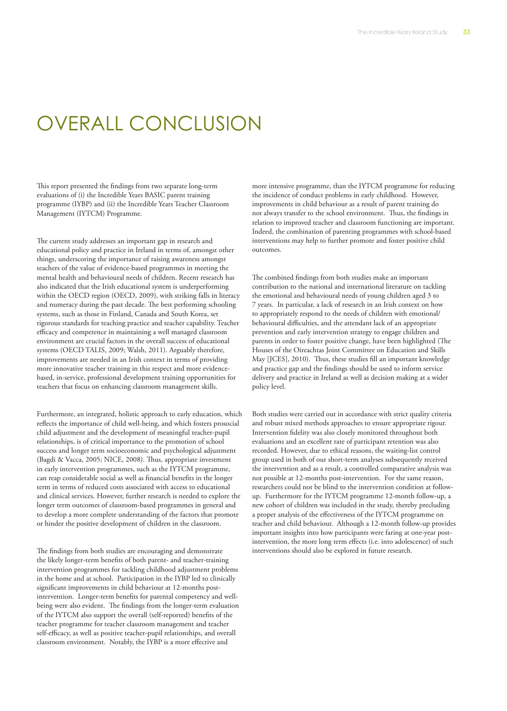# OVERALL CONCLUSION

This report presented the findings from two separate long-term evaluations of (i) the Incredible Years BASIC parent training programme (IYBP) and (ii) the Incredible Years Teacher Classroom Management (IYTCM) Programme.

The current study addresses an important gap in research and educational policy and practice in Ireland in terms of, amongst other things, underscoring the importance of raising awareness amongst teachers of the value of evidence-based programmes in meeting the mental health and behavioural needs of children. Recent research has also indicated that the Irish educational system is underperforming within the OECD region (OECD, 2009), with striking falls in literacy and numeracy during the past decade. The best performing schooling systems, such as those in Finland, Canada and South Korea, set rigorous standards for teaching practice and teacher capability. Teacher efficacy and competence in maintaining a well managed classroom environment are crucial factors in the overall success of educational systems (OECD TALIS, 2009; Walsh, 2011). Arguably therefore, improvements are needed in an Irish context in terms of providing more innovative teacher training in this respect and more evidencebased, in-service, professional development training opportunities for teachers that focus on enhancing classroom management skills.

Furthermore, an integrated, holistic approach to early education, which reflects the importance of child well-being, and which fosters prosocial child adjustment and the development of meaningful teacher-pupil relationships, is of critical importance to the promotion of school success and longer term socioeconomic and psychological adjustment (Bagdi & Vacca, 2005; NICE, 2008). Thus, appropriate investment in early intervention programmes, such as the IYTCM programme, can reap considerable social as well as financial benefits in the longer term in terms of reduced costs associated with access to educational and clinical services. However, further research is needed to explore the longer term outcomes of classroom-based programmes in general and to develop a more complete understanding of the factors that promote or hinder the positive development of children in the classroom.

The findings from both studies are encouraging and demonstrate the likely longer-term benefits of both parent- and teacher-training intervention programmes for tackling childhood adjustment problems in the home and at school. Participation in the IYBP led to clinically significant improvements in child behaviour at 12-months postintervention. Longer-term benefits for parental competency and wellbeing were also evident. The findings from the longer-term evaluation of the IYTCM also support the overall (self-reported) benefits of the teacher programme for teacher classroom management and teacher self-efficacy, as well as positive teacher-pupil relationships, and overall classroom environment. Notably, the IYBP is a more effective and

more intensive programme, than the IYTCM programme for reducing the incidence of conduct problems in early childhood. However, improvements in child behaviour as a result of parent training do not always transfer to the school environment. Thus, the findings in relation to improved teacher and classroom functioning are important. Indeed, the combination of parenting programmes with school-based interventions may help to further promote and foster positive child outcomes.

The combined findings from both studies make an important contribution to the national and international literature on tackling the emotional and behavioural needs of young children aged 3 to 7 years. In particular, a lack of research in an Irish context on how to appropriately respond to the needs of children with emotional/ behavioural difficulties, and the attendant lack of an appropriate prevention and early intervention strategy to engage children and parents in order to foster positive change, have been highlighted (The Houses of the Oireachtas Joint Committee on Education and Skills May [JCES], 2010). Thus, these studies fill an important knowledge and practice gap and the findings should be used to inform service delivery and practice in Ireland as well as decision making at a wider policy level.

Both studies were carried out in accordance with strict quality criteria and robust mixed methods approaches to ensure appropriate rigour. Intervention fidelity was also closely monitored throughout both evaluations and an excellent rate of participant retention was also recorded. However, due to ethical reasons, the waiting-list control group used in both of our short-term analyses subsequently received the intervention and as a result, a controlled comparative analysis was not possible at 12-months post-intervention. For the same reason, researchers could not be blind to the intervention condition at followup. Furthermore for the IYTCM programme 12-month follow-up, a new cohort of children was included in the study, thereby precluding a proper analysis of the effectiveness of the IYTCM programme on teacher and child behaviour. Although a 12-month follow-up provides important insights into how participants were faring at one-year postintervention, the more long term effects (i.e. into adolescence) of such interventions should also be explored in future research.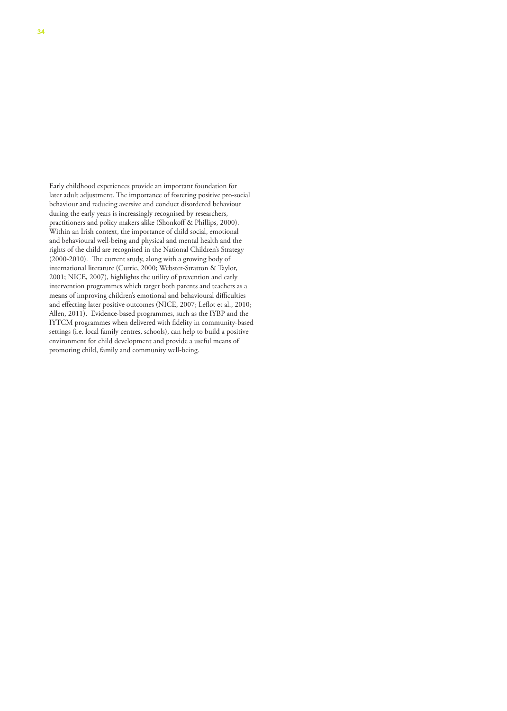Early childhood experiences provide an important foundation for later adult adjustment. The importance of fostering positive pro-social behaviour and reducing aversive and conduct disordered behaviour during the early years is increasingly recognised by researchers, practitioners and policy makers alike (Shonkoff & Phillips, 2000). Within an Irish context, the importance of child social, emotional and behavioural well-being and physical and mental health and the rights of the child are recognised in the National Children's Strategy (2000-2010). The current study, along with a growing body of international literature (Currie, 2000; Webster-Stratton & Taylor, 2001; NICE, 2007), highlights the utility of prevention and early intervention programmes which target both parents and teachers as a means of improving children's emotional and behavioural difficulties and effecting later positive outcomes (NICE, 2007; Leflot et al., 2010; Allen, 2011). Evidence-based programmes, such as the IYBP and the IYTCM programmes when delivered with fidelity in community-based settings (i.e. local family centres, schools), can help to build a positive environment for child development and provide a useful means of promoting child, family and community well-being.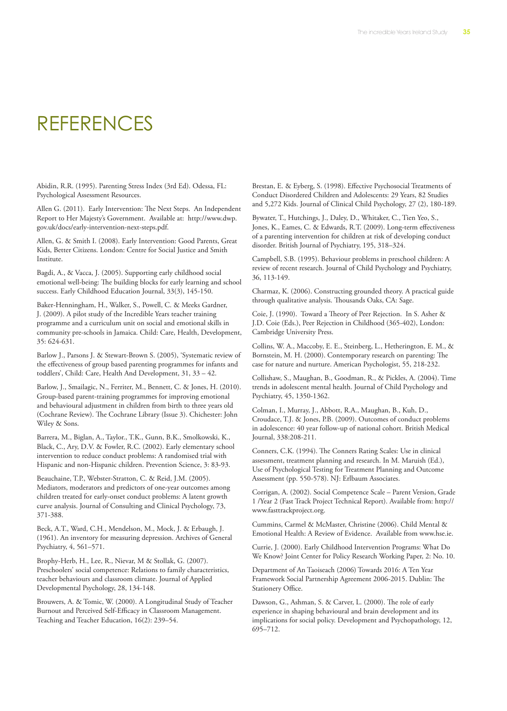# REFERENCES

Abidin, R.R. (1995). Parenting Stress Index (3rd Ed). Odessa, FL: Psychological Assessment Resources.

Allen G. (2011). Early Intervention: The Next Steps. An Independent Report to Her Majesty's Government. Available at: http://www.dwp. gov.uk/docs/early-intervention-next-steps.pdf.

Allen, G. & Smith I. (2008). Early Intervention: Good Parents, Great Kids, Better Citizens. London: Centre for Social Justice and Smith Institute.

Bagdi, A., & Vacca, J. (2005). Supporting early childhood social emotional well-being: The building blocks for early learning and school success. Early Childhood Education Journal, 33(3), 145-150.

Baker-Henningham, H., Walker, S., Powell, C. & Meeks Gardner, J. (2009). A pilot study of the Incredible Years teacher training programme and a curriculum unit on social and emotional skills in community pre-schools in Jamaica. Child: Care, Health, Development, 35: 624-631.

Barlow J., Parsons J. & Stewart-Brown S. (2005), 'Systematic review of the effectiveness of group based parenting programmes for infants and toddlers', Child: Care, Health And Development, 31, 33 – 42.

Barlow, J., Smailagic, N., Ferriter, M., Bennett, C. & Jones, H. (2010). Group-based parent-training programmes for improving emotional and behavioural adjustment in children from birth to three years old (Cochrane Review). The Cochrane Library (Issue 3). Chichester: John Wiley & Sons.

Barrera, M., Biglan, A., Taylor., T.K., Gunn, B.K., Smolkowski, K., Black, C., Ary, D.V. & Fowler, R.C. (2002). Early elementary school intervention to reduce conduct problems: A randomised trial with Hispanic and non-Hispanic children. Prevention Science, 3: 83-93.

Beauchaine, T.P., Webster-Stratton, C. & Reid, J.M. (2005). Mediators, moderators and predictors of one-year outcomes among children treated for early-onset conduct problems: A latent growth curve analysis. Journal of Consulting and Clinical Psychology, 73, 371-388.

Beck, A.T., Ward, C.H., Mendelson, M., Mock, J. & Erbaugh, J. (1961). An inventory for measuring depression. Archives of General Psychiatry, 4, 561–571.

Brophy-Herb, H., Lee, R., Nievar, M & Stollak, G. (2007). Preschoolers' social competence: Relations to family characteristics, teacher behaviours and classroom climate. Journal of Applied Developmental Psychology, 28, 134-148.

Brouwers, A. & Tomic, W. (2000). A Longitudinal Study of Teacher Burnout and Perceived Self-Efficacy in Classroom Management. Teaching and Teacher Education, 16(2): 239–54.

Brestan, E. & Eyberg, S. (1998). Effective Psychosocial Treatments of Conduct Disordered Children and Adolescents: 29 Years, 82 Studies and 5,272 Kids. Journal of Clinical Child Psychology, 27 (2), 180-189.

Bywater, T., Hutchings, J., Daley, D., Whitaker, C., Tien Yeo, S., Jones, K., Eames, C. & Edwards, R.T. (2009). Long-term effectiveness of a parenting intervention for children at risk of developing conduct disorder. British Journal of Psychiatry, 195, 318–324.

Campbell, S.B. (1995). Behaviour problems in preschool children: A review of recent research. Journal of Child Psychology and Psychiatry, 36, 113-149.

Charmaz, K. (2006). Constructing grounded theory. A practical guide through qualitative analysis. Thousands Oaks, CA: Sage.

Coie, J. (1990). Toward a Theory of Peer Rejection. In S. Asher & J.D. Coie (Eds.), Peer Rejection in Childhood (365-402), London: Cambridge University Press.

Collins, W. A., Maccoby, E. E., Steinberg, L., Hetherington, E. M., & Bornstein, M. H. (2000). Contemporary research on parenting: The case for nature and nurture. American Psychologist, 55, 218-232.

Collishaw, S., Maughan, B., Goodman, R., & Pickles, A. (2004). Time trends in adolescent mental health. Journal of Child Psychology and Psychiatry, 45, 1350-1362.

Colman, I., Murray, J., Abbott, R.A., Maughan, B., Kuh, D., Croudace, T.J. & Jones, P.B. (2009). Outcomes of conduct problems in adolescence: 40 year follow-up of national cohort. British Medical Journal, 338:208-211.

Conners, C.K. (1994). The Conners Rating Scales: Use in clinical assessment, treatment planning and research. In M. Maruish (Ed.), Use of Psychological Testing for Treatment Planning and Outcome Assessment (pp. 550-578). NJ: Erlbaum Associates.

Corrigan, A. (2002). Social Competence Scale – Parent Version, Grade 1 /Year 2 (Fast Track Project Technical Report). Available from: http:// www.fasttrackproject.org.

Cummins, Carmel & McMaster, Christine (2006). Child Mental & Emotional Health: A Review of Evidence. Available from www.hse.ie.

Currie, J. (2000). Early Childhood Intervention Programs: What Do We Know? Joint Center for Policy Research Working Paper, 2: No. 10.

Department of An Taoiseach (2006) Towards 2016: A Ten Year Framework Social Partnership Agreement 2006-2015. Dublin: The Stationery Office.

Dawson, G., Ashman, S. & Carver, L. (2000). The role of early experience in shaping behavioural and brain development and its implications for social policy. Development and Psychopathology, 12, 695–712.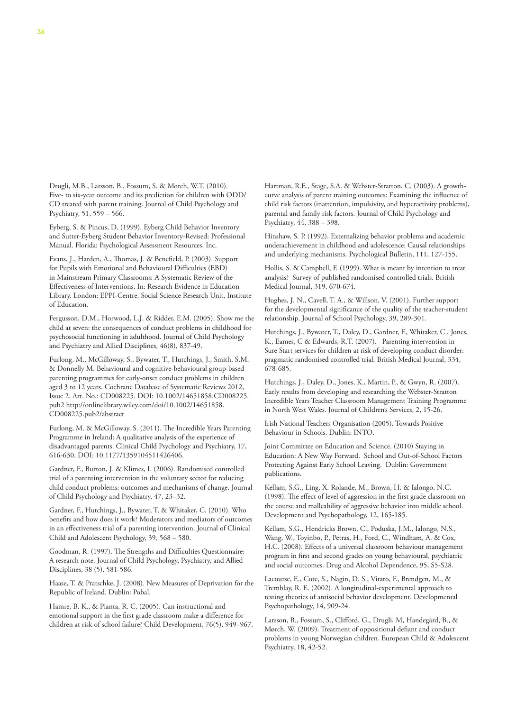Drugli, M.B., Larsson, B., Fossum, S. & Morch, W.T. (2010). Five- to six-year outcome and its prediction for children with ODD/ CD treated with parent training. Journal of Child Psychology and Psychiatry, 51, 559 – 566.

Eyberg, S. & Pincus, D. (1999). Eyberg Child Behavior Inventory and Sutter-Eyberg Student Behavior Inventory-Revised: Professional Manual. Florida: Psychological Assessment Resources, Inc.

Evans, J., Harden, A., Thomas, J. & Benefield, P. (2003). Support for Pupils with Emotional and Behavioural Difficulties (EBD) in Mainstream Primary Classrooms: A Systematic Review of the Effectiveness of Interventions. In: Research Evidence in Education Library. London: EPPI-Centre, Social Science Research Unit, Institute of Education.

Fergusson, D.M., Horwood, L.J. & Ridder, E.M. (2005). Show me the child at seven: the consequences of conduct problems in childhood for psychosocial functioning in adulthood. Journal of Child Psychology and Psychiatry and Allied Disciplines, 46(8), 837-49.

Furlong, M., McGilloway, S., Bywater, T., Hutchings, J., Smith, S.M. & Donnelly M. Behavioural and cognitive-behavioural group-based parenting programmes for early-onset conduct problems in children aged 3 to 12 years. Cochrane Database of Systematic Reviews 2012, Issue 2. Art. No.: CD008225. DOI: 10.1002/14651858.CD008225. pub2 http://onlinelibrary.wiley.com/doi/10.1002/14651858. CD008225.pub2/abstract

Furlong, M. & McGilloway, S. (2011). The Incredible Years Parenting Programme in Ireland: A qualitative analysis of the experience of disadvantaged parents. Clinical Child Psychology and Psychiatry, 17, 616-630. DOI: 10.1177/1359104511426406.

Gardner, F., Burton, J. & Klimes, I. (2006). Randomised controlled trial of a parenting intervention in the voluntary sector for reducing child conduct problems: outcomes and mechanisms of change. Journal of Child Psychology and Psychiatry, 47, 23–32.

Gardner, F., Hutchings, J., Bywater, T. & Whitaker, C. (2010). Who benefits and how does it work? Moderators and mediators of outcomes in an effectiveness trial of a parenting intervention. Journal of Clinical Child and Adolescent Psychology, 39, 568 – 580.

Goodman, R. (1997). The Strengths and Difficulties Questionnaire: A research note. Journal of Child Psychology, Psychiatry, and Allied Disciplines, 38 (5), 581-586.

Haase, T. & Pratschke, J. (2008). New Measures of Deprivation for the Republic of Ireland. Dublin: Pobal.

Hamre, B. K., & Pianta, R. C. (2005). Can instructional and emotional support in the first grade classroom make a difference for children at risk of school failure? Child Development, 76(5), 949–967. Hartman, R.E., Stage, S.A. & Webster-Stratton, C. (2003). A growthcurve analysis of parent training outcomes: Examining the influence of child risk factors (inattention, impulsivity, and hyperactivity problems), parental and family risk factors. Journal of Child Psychology and Psychiatry, 44, 388 – 398.

Hinshaw, S. P. (1992). Externalizing behavior problems and academic underachievement in childhood and adolescence: Causal relationships and underlying mechanisms. Psychological Bulletin, 111, 127-155.

Hollis, S. & Campbell, F. (1999). What is meant by intention to treat analysis? Survey of published randomised controlled trials. British Medical Journal, 319, 670-674.

Hughes, J. N., Cavell, T. A., & Willson, V. (2001). Further support for the developmental significance of the quality of the teacher-student relationship. Journal of School Psychology, 39, 289-301.

Hutchings, J., Bywater, T., Daley, D., Gardner, F., Whitaker, C., Jones, K., Eames, C & Edwards, R.T. (2007). Parenting intervention in Sure Start services for children at risk of developing conduct disorder: pragmatic randomised controlled trial. British Medical Journal, 334, 678-685.

Hutchings, J., Daley, D., Jones, K., Martin, P., & Gwyn, R. (2007). Early results from developing and researching the Webster-Stratton Incredible Years Teacher Classroom Management Training Programme in North West Wales. Journal of Children's Services, 2, 15-26.

Irish National Teachers Organisation (2005). Towards Positive Behaviour in Schools. Dublin: INTO.

Joint Committee on Education and Science. (2010) Staying in Education: A New Way Forward. School and Out-of-School Factors Protecting Against Early School Leaving. Dublin: Government publications.

Kellam, S.G., Ling, X. Rolande, M., Brown, H. & Ialongo, N.C. (1998). The effect of level of aggression in the first grade classroom on the course and malleability of aggressive behavior into middle school. Development and Psychopathology, 12, 165-185.

Kellam, S.G., Hendricks Brown, C., Poduska, J.M., Ialongo, N.S., Wang, W., Toyinbo, P., Petras, H., Ford, C., Windham, A. & Cox, H.C. (2008). Effects of a universal classroom behaviour management program in first and second grades on young behavioural, psychiatric and social outcomes. Drug and Alcohol Dependence, 95, S5-S28.

Lacourse, E., Cote, S., Nagin, D. S., Vitaro, F., Brendgen, M., & Tremblay, R. E. (2002). A longitudinal-experimental approach to testing theories of antisocial behavior development. Developmental Psychopathology, 14, 909-24.

Larsson, B., Fossum, S., Clifford, G., Drugli, M, Handegård, B., & Mørch, W. (2009). Treatment of oppositional defiant and conduct problems in young Norwegian children. European Child & Adolescent Psychiatry, 18, 42-52.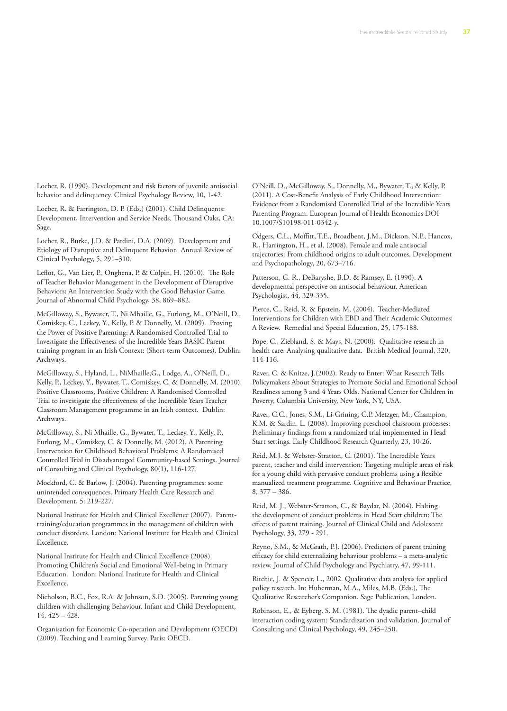Loeber, R. (1990). Development and risk factors of juvenile antisocial behavior and delinquency. Clinical Psychology Review, 10, 1-42.

Loeber, R. & Farrington, D. P. (Eds.) (2001). Child Delinquents: Development, Intervention and Service Needs. Thousand Oaks, CA: Sage.

Loeber, R., Burke, J.D. & Pardini, D.A. (2009). Development and Etiology of Disruptive and Delinquent Behavior. Annual Review of Clinical Psychology, 5, 291–310.

Leflot, G., Van Lier, P., Onghena, P. & Colpin, H. (2010). The Role of Teacher Behavior Management in the Development of Disruptive Behaviors: An Intervention Study with the Good Behavior Game. Journal of Abnormal Child Psychology, 38, 869–882.

McGilloway, S., Bywater, T., Ni Mhaille, G., Furlong, M., O'Neill, D., Comiskey, C., Leckey, Y., Kelly, P. & Donnelly, M. (2009). Proving the Power of Positive Parenting: A Randomised Controlled Trial to Investigate the Effectiveness of the Incredible Years BASIC Parent training program in an Irish Context: (Short-term Outcomes). Dublin: Archways.

McGilloway, S., Hyland, L., NiMhaille,G., Lodge, A., O'Neill, D., Kelly, P., Leckey, Y., Bywater, T., Comiskey, C. & Donnelly, M. (2010). Positive Classrooms, Positive Children: A Randomised Controlled Trial to investigate the effectiveness of the Incredible Years Teacher Classroom Management programme in an Irish context. Dublin: Archways.

McGilloway, S., Ni Mhaille, G., Bywater, T., Leckey, Y., Kelly, P., Furlong, M., Comiskey, C. & Donnelly, M. (2012). A Parenting Intervention for Childhood Behavioral Problems: A Randomised Controlled Trial in Disadvantaged Community-based Settings. Journal of Consulting and Clinical Psychology, 80(1), 116-127.

Mockford, C. & Barlow, J. (2004). Parenting programmes: some unintended consequences. Primary Health Care Research and Development, 5: 219-227.

National Institute for Health and Clinical Excellence (2007). Parenttraining/education programmes in the management of children with conduct disorders. London: National Institute for Health and Clinical Excellence.

National Institute for Health and Clinical Excellence (2008). Promoting Children's Social and Emotional Well-being in Primary Education. London: National Institute for Health and Clinical Excellence.

Nicholson, B.C., Fox, R.A. & Johnson, S.D. (2005). Parenting young children with challenging Behaviour. Infant and Child Development, 14, 425 – 428.

Organisation for Economic Co-operation and Development (OECD) (2009). Teaching and Learning Survey. Paris: OECD.

O'Neill, D., McGilloway, S., Donnelly, M., Bywater, T., & Kelly, P. (2011). A Cost-Benefit Analysis of Early Childhood Intervention: Evidence from a Randomised Controlled Trial of the Incredible Years Parenting Program. European Journal of Health Economics DOI 10.1007/S10198-011-0342-y.

Odgers, C.L., Moffitt, T.E., Broadbent, J.M., Dickson, N.P., Hancox, R., Harrington, H., et al. (2008). Female and male antisocial trajectories: From childhood origins to adult outcomes. Development and Psychopathology, 20, 673–716.

Patterson, G. R., DeBaryshe, B.D. & Ramsey, E. (1990). A developmental perspective on antisocial behaviour. American Psychologist, 44, 329-335.

Pierce, C., Reid, R. & Epstein, M. (2004). Teacher-Mediated Interventions for Children with EBD and Their Academic Outcomes: A Review. Remedial and Special Education, 25, 175-188.

Pope, C., Ziebland, S. & Mays, N. (2000). Qualitative research in health care: Analysing qualitative data. British Medical Journal, 320, 114-116.

Raver, C. & Knitze, J.(2002). Ready to Enter: What Research Tells Policymakers About Strategies to Promote Social and Emotional School Readiness among 3 and 4 Years Olds. National Center for Children in Poverty, Columbia University, New York, NY, USA.

Raver, C.C., Jones, S.M., Li-Grining, C.P. Metzger, M., Champion, K.M. & Sardin, L. (2008). Improving preschool classroom processes: Preliminary findings from a randomized trial implemented in Head Start settings. Early Childhood Research Quarterly, 23, 10-26.

Reid, M.J. & Webster-Stratton, C. (2001). The Incredible Years parent, teacher and child intervention: Targeting multiple areas of risk for a young child with pervasive conduct problems using a flexible manualized treatment programme. Cognitive and Behaviour Practice, 8, 377 – 386.

Reid, M. J., Webster-Stratton, C., & Baydar, N. (2004). Halting the development of conduct problems in Head Start children: The effects of parent training. Journal of Clinical Child and Adolescent Psychology, 33, 279 - 291.

Reyno, S.M., & McGrath, P.J. (2006). Predictors of parent training efficacy for child externalizing behaviour problems – a meta-analytic review. Journal of Child Psychology and Psychiatry, 47, 99-111.

Ritchie, J. & Spencer, L., 2002. Qualitative data analysis for applied policy research. In: Huberman, M.A., Miles, M.B. (Eds.), The Qualitative Researcher's Companion. Sage Publication, London.

Robinson, E., & Eyberg, S. M. (1981). The dyadic parent–child interaction coding system: Standardization and validation. Journal of Consulting and Clinical Psychology, 49, 245–250.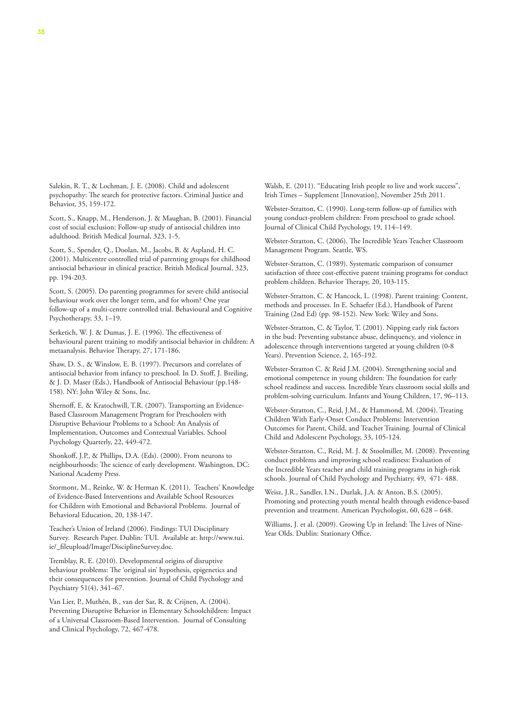Salekin, R. T., & Lochman, J. E. (2008). Child and adolescent psychopathy: The search for protective factors. Criminal Justice and Behavior, 35, 159-172.

Scott, S., Knapp, M., Henderson, J. & Maughan, B. (2001). Financial cost of social exclusion: Follow-up study of antisocial children into adulthood. British Medical Journal, 323, 1-5.

Scott, S., Spender, Q., Doolan, M., Jacobs, B. & Aspland, H. C. (2001). Multicentre controlled trial of parenting groups for childhood antisocial behaviour in clinical practice. British Medical Journal, 323, pp. 194-203.

Scott, S. (2005). Do parenting programmes for severe child antisocial behaviour work over the longer term, and for whom? One year follow-up of a multi-centre controlled trial. Behavioural and Cognitive Psychotherapy, 33, 1–19.

Serketich, W. J. & Dumas, J. E. (1996). The effectiveness of behavioural parent training to modify antisocial behavior in children: A metaanalysis. Behavior Therapy, 27, 171-186.

Shaw, D. S., & Winslow, E. B. (1997). Precursors and correlates of antisocial behavior from infancy to preschool. In D. Stoff, J. Breiling, & J. D. Maser (Eds.), Handbook of Antisocial Behaviour (pp.148- 158). NY: John Wiley & Sons, Inc.

Shernoff, E. & Kratochwill, T.R. (2007). Transporting an Evidence-Based Classroom Management Program for Preschoolers with Disruptive Behaviour Problems to a School: An Analysis of Implementation, Outcomes and Contextual Variables. School Psychology Quarterly, 22, 449-472.

Shonkoff, J.P., & Phillips, D.A. (Eds). (2000). From neurons to neighbourhoods: The science of early development. Washington, DC: National Academy Press.

Stormont, M., Reinke, W. & Herman K. (2011). Teachers' Knowledge of Evidence-Based Interventions and Available School Resources for Children with Emotional and Behavioral Problems. Journal of Behavioral Education, 20, 138-147.

Teacher's Union of Ireland (2006). Findings: TUI Disciplinary Survey. Research Paper. Dublin: TUI. Available at: http://www.tui. ie/\_fileupload/Image/DisciplineSurvey.doc.

Tremblay, R. E. (2010). Developmental origins of disruptive behaviour problems: The 'original sin' hypothesis, epigenetics and their consequences for prevention. Journal of Child Psychology and Psychiatry 51(4), 341–67.

Van Lier, P., Muthén, B., van der Sar, R. & Crijnen, A. (2004). Preventing Disruptive Behavior in Elementary Schoolchildren: Impact of a Universal Classroom-Based Intervention. Journal of Consulting and Clinical Psychology, 72, 467-478.

Walsh, E. (2011). "Educating Irish people to live and work success", Irish Times – Supplement [Innovation], November 25th 2011.

Webster-Stratton, C. (1990). Long-term follow-up of families with young conduct-problem children: From preschool to grade school. Journal of Clinical Child Psychology, 19, 114–149.

Webster-Stratton, C. (2006). The Incredible Years Teacher Classroom Management Program. Seattle, WS.

Webster-Stratton, C. (1989). Systematic comparison of consumer satisfaction of three cost-effective parent training programs for conduct problem children. Behavior Therapy, 20, 103-115.

Webster-Stratton, C. & Hancock, L. (1998). Parent training: Content, methods and processes. In E. Schaefer (Ed.), Handbook of Parent Training (2nd Ed) (pp. 98-152). New York: Wiley and Sons.

Webster-Stratton, C. & Taylor, T. (2001). Nipping early risk factors in the bud: Preventing substance abuse, delinquency, and violence in adolescence through interventions targeted at young children (0-8 Years). Prevention Science, 2, 165-192.

Webster-Stratton C. & Reid J.M. (2004). Strengthening social and emotional competence in young children: The foundation for early school readiness and success. Incredible Years classroom social skills and problem-solving curriculum. Infants and Young Children, 17, 96–113.

Webster-Stratton, C., Reid, J.M., & Hammond, M. (2004). Treating Children With Early-Onset Conduct Problems: Intervention Outcomes for Parent, Child, and Teacher Training. Journal of Clinical Child and Adolescent Psychology, 33, 105-124.

Webster-Stratton, C., Reid, M. J. & Stoolmiller, M. (2008). Preventing conduct problems and improving school readiness: Evaluation of the Incredible Years teacher and child training programs in high-risk schools. Journal of Child Psychology and Psychiatry, 49, 471- 488.

Weisz, J.R., Sandler, I.N., Durlak, J.A. & Anton, B.S. (2005). Promoting and protecting youth mental health through evidence-based prevention and treatment. American Psychologist, 60, 628 – 648.

Williams, J. et al. (2009). Growing Up in Ireland: The Lives of Nine-Year Olds. Dublin: Stationary Office.